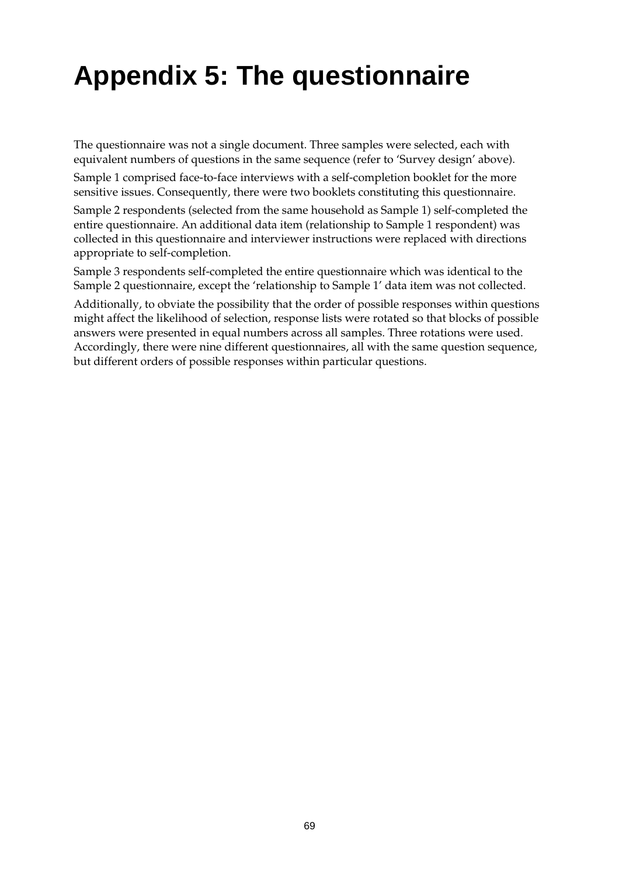# **Appendix 5: The questionnaire**

The questionnaire was not a single document. Three samples were selected, each with equivalent numbers of questions in the same sequence (refer to 'Survey design' above).

Sample 1 comprised face-to-face interviews with a self-completion booklet for the more sensitive issues. Consequently, there were two booklets constituting this questionnaire.

Sample 2 respondents (selected from the same household as Sample 1) self-completed the entire questionnaire. An additional data item (relationship to Sample 1 respondent) was collected in this questionnaire and interviewer instructions were replaced with directions appropriate to self-completion.

Sample 3 respondents self-completed the entire questionnaire which was identical to the Sample 2 questionnaire, except the 'relationship to Sample 1' data item was not collected.

Additionally, to obviate the possibility that the order of possible responses within questions might affect the likelihood of selection, response lists were rotated so that blocks of possible answers were presented in equal numbers across all samples. Three rotations were used. Accordingly, there were nine different questionnaires, all with the same question sequence, but different orders of possible responses within particular questions.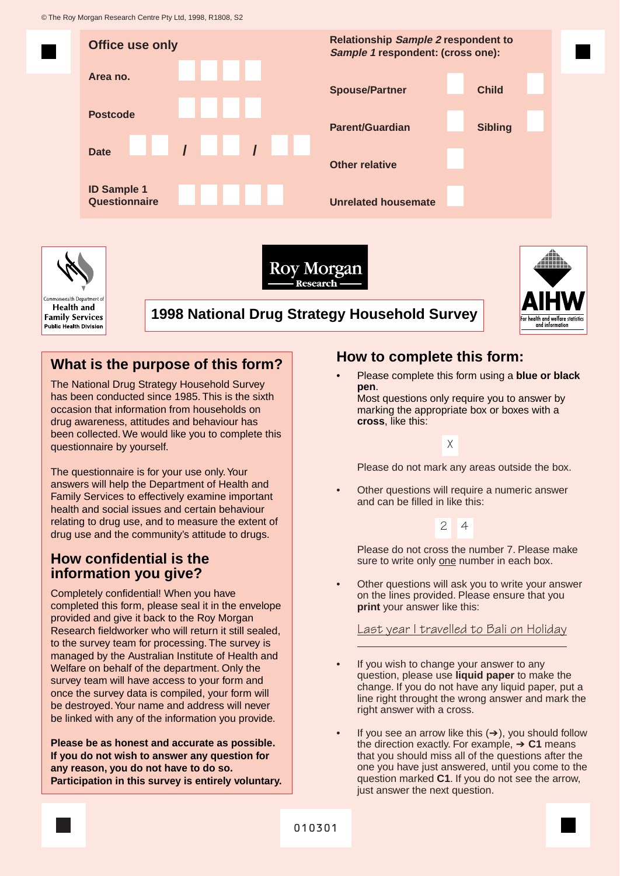© The Roy Morgan Research Centre Pty Ltd, 1998, R1808, S2



## **What is the purpose of this form?**

The National Drug Strategy Household Survey has been conducted since 1985. This is the sixth occasion that information from households on drug awareness, attitudes and behaviour has been collected. We would like you to complete this questionnaire by yourself.

The questionnaire is for your use only.Your answers will help the Department of Health and Family Services to effectively examine important health and social issues and certain behaviour relating to drug use, and to measure the extent of drug use and the community's attitude to drugs.

## **How confidential is the information you give?**

Completely confidential! When you have completed this form, please seal it in the envelope provided and give it back to the Roy Morgan Research fieldworker who will return it still sealed, to the survey team for processing. The survey is managed by the Australian Institute of Health and Welfare on behalf of the department. Only the survey team will have access to your form and once the survey data is compiled, your form will be destroyed.Your name and address will never be linked with any of the information you provide.

**Please be as honest and accurate as possible. If you do not wish to answer any question for any reason, you do not have to do so. Participation in this survey is entirely voluntary.**

## **How to complete this form:**

• Please complete this form using a **blue or black pen**.

Most questions only require you to answer by marking the appropriate box or boxes with a **cross**, like this:

X

Please do not mark any areas outside the box.

• Other questions will require a numeric answer and can be filled in like this:

## 2 4

Please do not cross the number 7. Please make sure to write only one number in each box.

Other questions will ask you to write your answer on the lines provided. Please ensure that you **print** your answer like this:

### Last year I travelled to Bali on Holiday

- If you wish to change your answer to any question, please use **liquid paper** to make the change. If you do not have any liquid paper, put a line right throught the wrong answer and mark the right answer with a cross.
- If you see an arrow like this  $(→)$ , you should follow the direction exactly. For example, ➔ **C1** means that you should miss all of the questions after the one you have just answered, until you come to the question marked **C1**. If you do not see the arrow, just answer the next question.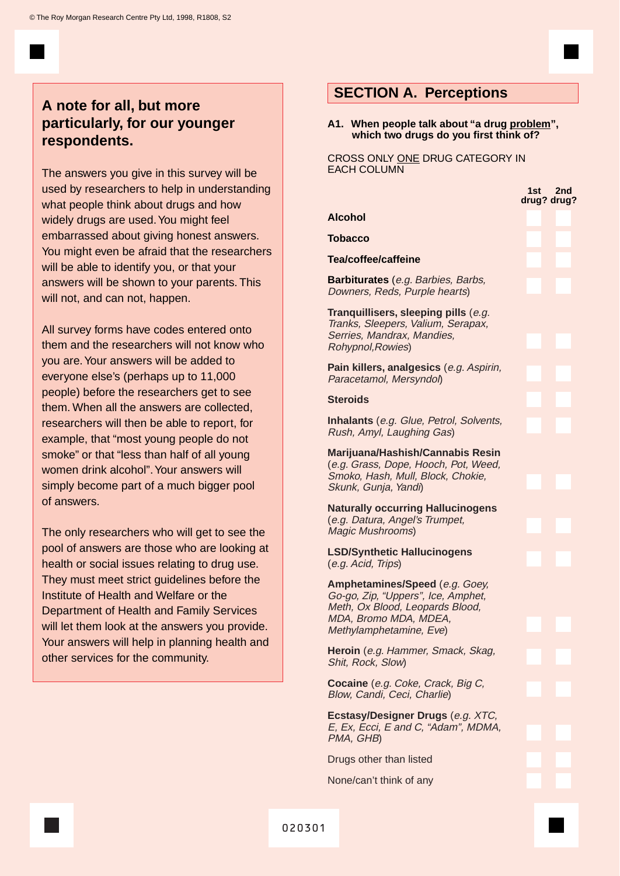## **A note for all, but more particularly, for our younger respondents.**

The answers you give in this survey will be used by researchers to help in understanding what people think about drugs and how widely drugs are used. You might feel embarrassed about giving honest answers. You might even be afraid that the researchers will be able to identify you, or that your answers will be shown to your parents. This will not, and can not, happen.

All survey forms have codes entered onto them and the researchers will not know who you are.Your answers will be added to everyone else's (perhaps up to 11,000 people) before the researchers get to see them. When all the answers are collected, researchers will then be able to report, for example, that "most young people do not smoke" or that "less than half of all young women drink alcohol". Your answers will simply become part of a much bigger pool of answers.

The only researchers who will get to see the pool of answers are those who are looking at health or social issues relating to drug use. They must meet strict guidelines before the Institute of Health and Welfare or the Department of Health and Family Services will let them look at the answers you provide. Your answers will help in planning health and other services for the community.

## **SECTION A. Perceptions**

**A1. When people talk about "a drug problem", which two drugs do you first think of?**

CROSS ONLY ONE DRUG CATEGORY IN EACH COLUMN

**Alcohol**

**Tobacco**

**Steroids**

**1st 2nd drug? drug? Tea/coffee/caffeine Barbiturates** (e.g. Barbies, Barbs, Downers, Reds, Purple hearts) **Tranquillisers, sleeping pills** (e.g. Tranks, Sleepers, Valium, Serapax, Serries, Mandrax, Mandies, Rohypnol,Rowies) **Pain killers, analgesics** (e.g. Aspirin, Paracetamol, Mersyndol) **Inhalants** (e.g. Glue, Petrol, Solvents, Rush, Amyl, Laughing Gas) **Marijuana/Hashish/Cannabis Resin** (e.g. Grass, Dope, Hooch, Pot, Weed, Smoko, Hash, Mull, Block, Chokie, Skunk, Gunja, Yandi) **Naturally occurring Hallucinogens** (e.g. Datura, Angel's Trumpet, Magic Mushrooms) **LSD/Synthetic Hallucinogens** (e.g. Acid, Trips) **Amphetamines/Speed** (e.g. Goey, Go-go, Zip, "Uppers", Ice, Amphet, Meth, Ox Blood, Leopards Blood, MDA, Bromo MDA, MDEA, Methylamphetamine, Eve) **Heroin** (e.g. Hammer, Smack, Skag, Shit, Rock, Slow) **Cocaine** (e.g. Coke, Crack, Big C, Blow, Candi, Ceci, Charlie) **Ecstasy/Designer Drugs** (e.g. XTC, E, Ex, Ecci, E and C, "Adam", MDMA, PMA, GHB) Drugs other than listed None/can't think of any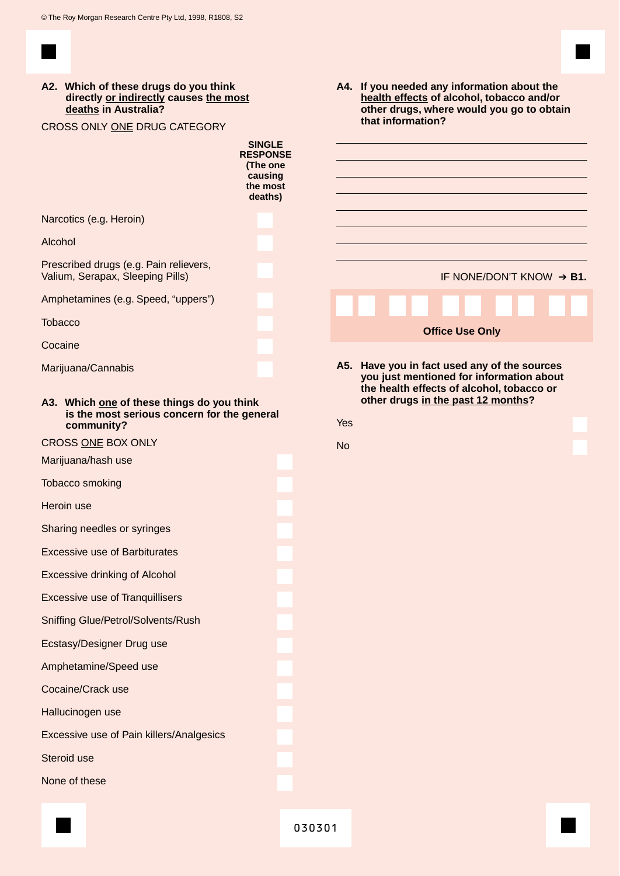

| A2. Which of these drugs do you think<br>directly or indirectly causes the most<br>deaths in Australia?<br>CROSS ONLY ONE DRUG CATEGORY<br><b>SINGLE</b><br><b>RESPONSE</b><br>(The one<br>causing<br>the most<br>deaths) |           | A4. If you needed any information about the<br>health effects of alcohol, tobacco and/or<br>other drugs, where would you go to obtain<br>that information? |  |  |
|---------------------------------------------------------------------------------------------------------------------------------------------------------------------------------------------------------------------------|-----------|------------------------------------------------------------------------------------------------------------------------------------------------------------|--|--|
| Narcotics (e.g. Heroin)                                                                                                                                                                                                   |           |                                                                                                                                                            |  |  |
| Alcohol                                                                                                                                                                                                                   |           |                                                                                                                                                            |  |  |
| Prescribed drugs (e.g. Pain relievers,<br>Valium, Serapax, Sleeping Pills)                                                                                                                                                |           | IF NONE/DON'T KNOW → B1.                                                                                                                                   |  |  |
| Amphetamines (e.g. Speed, "uppers")                                                                                                                                                                                       |           |                                                                                                                                                            |  |  |
| <b>Tobacco</b>                                                                                                                                                                                                            |           | <b>Office Use Only</b>                                                                                                                                     |  |  |
| Cocaine                                                                                                                                                                                                                   |           |                                                                                                                                                            |  |  |
| Marijuana/Cannabis                                                                                                                                                                                                        |           | A5. Have you in fact used any of the sources<br>you just mentioned for information about                                                                   |  |  |
| A3. Which one of these things do you think<br>is the most serious concern for the general<br>community?                                                                                                                   | Yes       | the health effects of alcohol, tobacco or<br>other drugs in the past 12 months?                                                                            |  |  |
| CROSS ONE BOX ONLY                                                                                                                                                                                                        | <b>No</b> |                                                                                                                                                            |  |  |
| Marijuana/hash use                                                                                                                                                                                                        |           |                                                                                                                                                            |  |  |
| <b>Tobacco smoking</b>                                                                                                                                                                                                    |           |                                                                                                                                                            |  |  |
| Heroin use                                                                                                                                                                                                                |           |                                                                                                                                                            |  |  |
| Sharing needles or syringes                                                                                                                                                                                               |           |                                                                                                                                                            |  |  |
| <b>Excessive use of Barbiturates</b>                                                                                                                                                                                      |           |                                                                                                                                                            |  |  |
| <b>Excessive drinking of Alcohol</b>                                                                                                                                                                                      |           |                                                                                                                                                            |  |  |
| <b>Excessive use of Tranquillisers</b>                                                                                                                                                                                    |           |                                                                                                                                                            |  |  |
| <b>Sniffing Glue/Petrol/Solvents/Rush</b>                                                                                                                                                                                 |           |                                                                                                                                                            |  |  |
| Ecstasy/Designer Drug use                                                                                                                                                                                                 |           |                                                                                                                                                            |  |  |
| Amphetamine/Speed use                                                                                                                                                                                                     |           |                                                                                                                                                            |  |  |
| Cocaine/Crack use                                                                                                                                                                                                         |           |                                                                                                                                                            |  |  |
| Hallucinogen use                                                                                                                                                                                                          |           |                                                                                                                                                            |  |  |
| Excessive use of Pain killers/Analgesics                                                                                                                                                                                  |           |                                                                                                                                                            |  |  |
| Steroid use                                                                                                                                                                                                               |           |                                                                                                                                                            |  |  |
| None of these                                                                                                                                                                                                             |           |                                                                                                                                                            |  |  |
|                                                                                                                                                                                                                           |           |                                                                                                                                                            |  |  |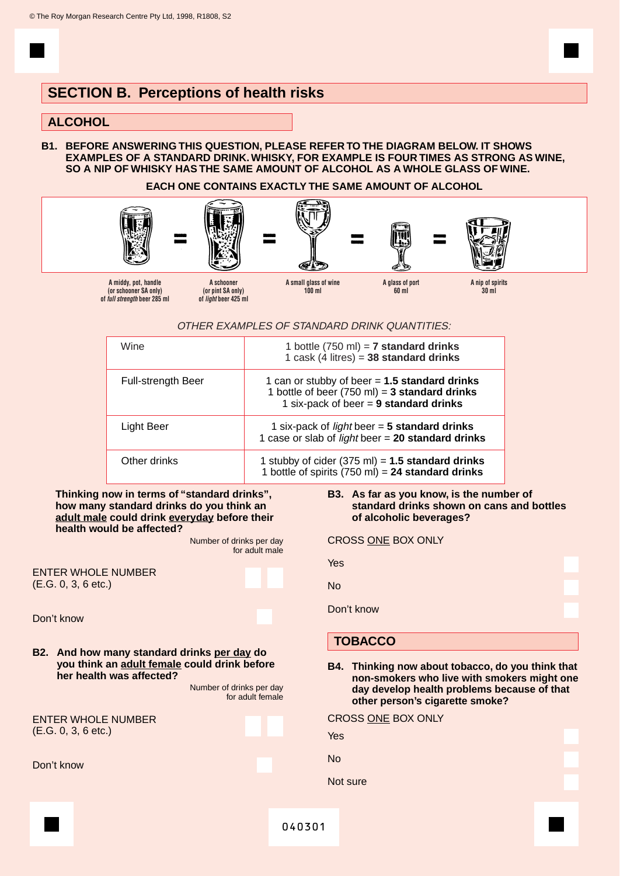## **SECTION B. Perceptions of health risks**

## **ALCOHOL**

**B1. BEFORE ANSWERING THIS QUESTION, PLEASE REFER TO THE DIAGRAM BELOW. IT SHOWS EXAMPLES OF A STANDARD DRINK.WHISKY, FOR EXAMPLE IS FOUR TIMES AS STRONG AS WINE, SO A NIP OF WHISKY HAS THE SAME AMOUNT OF ALCOHOL AS A WHOLE GLASS OF WINE.**

#### **EACH ONE CONTAINS EXACTLY THE SAME AMOUNT OF ALCOHOL**



#### OTHER EXAMPLES OF STANDARD DRINK QUANTITIES:

| Wine                      | 1 bottle $(750 \text{ ml}) = 7$ standard drinks<br>1 cask $(4 \text{ litres}) = 38$ standard drinks                                            |
|---------------------------|------------------------------------------------------------------------------------------------------------------------------------------------|
| <b>Full-strength Beer</b> | 1 can or stubby of beer $= 1.5$ standard drinks<br>1 bottle of beer (750 ml) = $3$ standard drinks<br>1 six-pack of beer $= 9$ standard drinks |
| Light Beer                | 1 six-pack of <i>light</i> beer $=$ 5 standard drinks<br>1 case or slab of <i>light</i> beer = $20$ standard drinks                            |
| Other drinks              | 1 stubby of cider $(375 \text{ ml}) = 1.5$ standard drinks<br>1 bottle of spirits $(750 \text{ ml}) = 24$ standard drinks                      |

#### **Thinking now in terms of "standard drinks", how many standard drinks do you think an adult male could drink everyday before their health would be affected?**

Number of drinks per day for adult male

ENTER WHOLE NUMBER (E.G. 0, 3, 6 etc.)

Don't know

**B2. And how many standard drinks per day do you think an adult female could drink before her health was affected?**

> Number of drinks per day for adult female

ENTER WHOLE NUMBER (E.G. 0, 3, 6 etc.)

Don't know

#### **B3. As far as you know, is the number of standard drinks shown on cans and bottles of alcoholic beverages?**

| <b>CROSS ONE BOX ONLY</b> |  |  |  |
|---------------------------|--|--|--|
|---------------------------|--|--|--|

| Yes        |  |
|------------|--|
| No         |  |
| Don't know |  |

## **TOBACCO**

No

**B4. Thinking now about tobacco, do you think that non-smokers who live with smokers might one day develop health problems because of that other person's cigarette smoke?**

| CROSS <u>ONE</u> BOX ONLY |  |
|---------------------------|--|
| Yes                       |  |
|                           |  |
| No                        |  |
|                           |  |
| Not sure                  |  |
|                           |  |
|                           |  |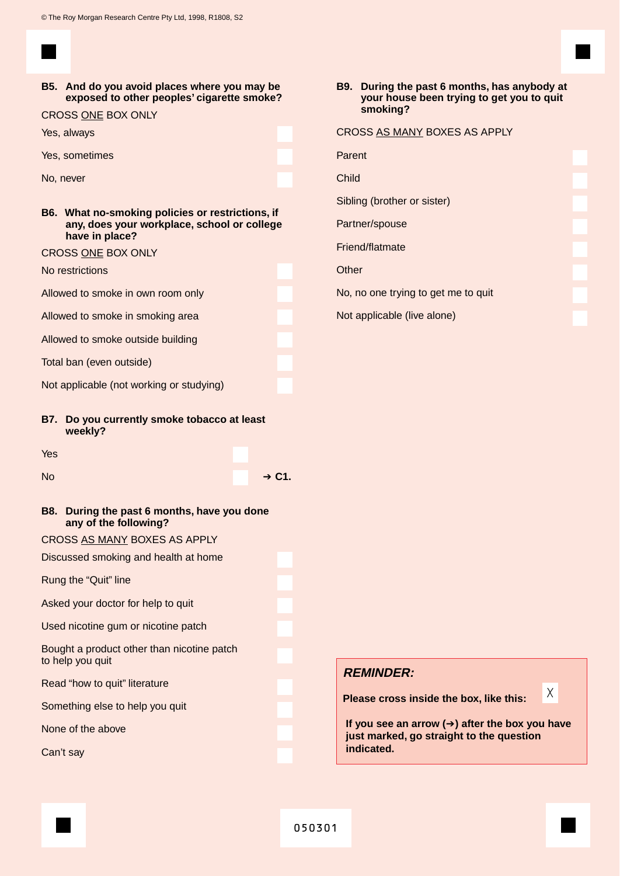**B5. And do you avoid places where you may be exposed to other peoples' cigarette smoke?**

CROSS ONE BOX ONLY

Yes, always

Yes, sometimes

No, never

**B6. What no-smoking policies or restrictions, if any, does your workplace, school or college have in place?**

#### CROSS ONE BOX ONLY

#### No restrictions

Allowed to smoke in own room only

Allowed to smoke in smoking area

Allowed to smoke outside building

Total ban (even outside)

Not applicable (not working or studying)

**B7. Do you currently smoke tobacco at least weekly?**

Yes

- No **→ C1.**
- **B8. During the past 6 months, have you done any of the following?**

CROSS AS MANY BOXES AS APPLY

Discussed smoking and health at home

Rung the "Quit" line

Asked your doctor for help to quit

Used nicotine gum or nicotine patch

Bought a product other than nicotine patch to help you quit

Read "how to quit" literature

Something else to help you quit

None of the above

Can't say

**B9. During the past 6 months, has anybody at your house been trying to get you to quit smoking?**

## CROSS AS MANY BOXES AS APPLY

Parent

Child

Sibling (brother or sister)

Partner/spouse

Friend/flatmate

**Other** 

No, no one trying to get me to quit

Not applicable (live alone)

### **REMINDER:**

**Please cross inside the box, like this:**

**If you see an arrow (**➔**) after the box you have just marked, go straight to the question indicated.**

X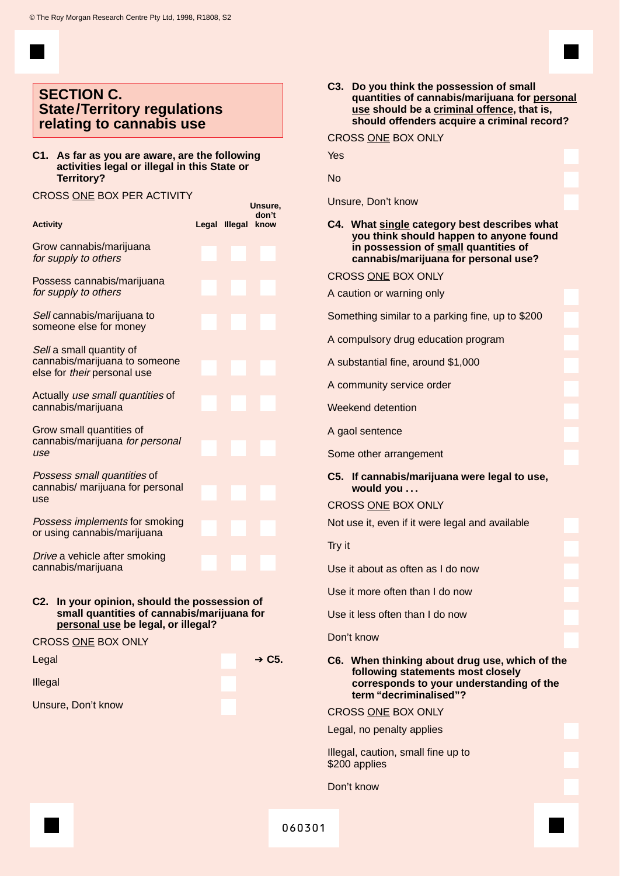## **SECTION C. State/Territory regulations relating to cannabis use**

**C1. As far as you are aware, are the following activities legal or illegal in this State or Territory?**

#### CROSS ONE BOX PER ACTIVITY

| <b>Activity</b>                                                                                                                   | Legal Illegal | Unsure,<br>don't<br>know |
|-----------------------------------------------------------------------------------------------------------------------------------|---------------|--------------------------|
| Grow cannabis/marijuana<br>for supply to others                                                                                   |               |                          |
| Possess cannabis/marijuana<br>for supply to others                                                                                |               |                          |
| Sell cannabis/marijuana to<br>someone else for money                                                                              |               |                          |
| Sell a small quantity of<br>cannabis/marijuana to someone<br>else for their personal use                                          |               |                          |
| Actually use small quantities of<br>cannabis/marijuana                                                                            |               |                          |
| Grow small quantities of<br>cannabis/marijuana for personal<br>use                                                                |               |                          |
| Possess small quantities of<br>cannabis/ marijuana for personal<br>use                                                            |               |                          |
| Possess implements for smoking<br>or using cannabis/marijuana                                                                     |               |                          |
| Drive a vehicle after smoking<br>cannabis/marijuana                                                                               |               |                          |
| C2. In your opinion, should the possession of<br>small quantities of cannabis/marijuana for<br>personal use be legal, or illegal? |               |                          |
| <b>CROSS ONE BOX ONLY</b>                                                                                                         |               |                          |
| Legal                                                                                                                             |               | $+ C5.$                  |

## **C3. Do you think the possession of small quantities of cannabis/marijuana for personal use should be a criminal offence, that is, should offenders acquire a criminal record?** CROSS ONE BOX ONLY Yes No Unsure, Don't know **C4. What single category best describes what you think should happen to anyone found in possession of small quantities of cannabis/marijuana for personal use?** CROSS ONE BOX ONLY A caution or warning only Something similar to a parking fine, up to \$200 A compulsory drug education program A substantial fine, around \$1,000 A community service order Weekend detention A gaol sentence Some other arrangement **C5. If cannabis/marijuana were legal to use, would you . . .** CROSS ONE BOX ONLY Not use it, even if it were legal and available Try it Use it about as often as I do now Use it more often than I do now Use it less often than I do now Don't know **C6. When thinking about drug use, which of the following statements most closely corresponds to your understanding of the term "decriminalised"?** CROSS ONE BOX ONLY Legal, no penalty applies Illegal, caution, small fine up to \$200 applies Don't know

060301

Illegal

Unsure, Don't know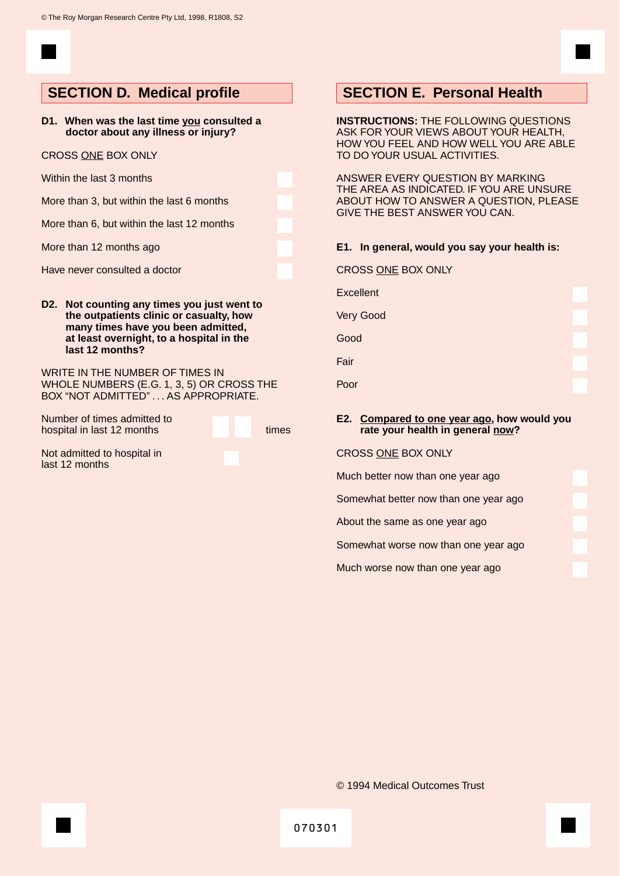**D1. When was the last time you consulted a doctor about any illness or injury?**

#### CROSS ONE BOX ONLY

Within the last 3 months

More than 3, but within the last 6 months

More than 6, but within the last 12 months

More than 12 months ago

Have never consulted a doctor

**D2. Not counting any times you just went to the outpatients clinic or casualty, how many times have you been admitted, at least overnight, to a hospital in the last 12 months?**

WRITE IN THE NUMBER OF TIMES IN WHOLE NUMBERS (E.G. 1, 3, 5) OR CROSS THE BOX "NOT ADMITTED" . . . AS APPROPRIATE.

Number of times admitted to hospital in last 12 months times

Not admitted to hospital in last 12 months

## **SECTION D. Medical profile SECTION E. Personal Health**

**INSTRUCTIONS:** THE FOLLOWING QUESTIONS ASK FOR YOUR VIEWS ABOUT YOUR HEALTH, HOW YOU FEEL AND HOW WELL YOU ARE ABLE TO DO YOUR USUAL ACTIVITIES.

ANSWER EVERY QUESTION BY MARKING THE AREA AS INDICATED. IF YOU ARE UNSURE ABOUT HOW TO ANSWER A QUESTION, PLEASE GIVE THE BEST ANSWER YOU CAN.

#### **E1. In general, would you say your health is:**

| CROSS ONE BOX ONLY |  |  |
|--------------------|--|--|
|                    |  |  |

**Excellent** 

Very Good

Good

Fair

Poor

#### **E2. Compared to one year ago, how would you rate your health in general now?**

CROSS ONE BOX ONLY

Much better now than one year ago

Somewhat better now than one year ago

About the same as one year ago

Somewhat worse now than one year ago

Much worse now than one year ago

© 1994 Medical Outcomes Trust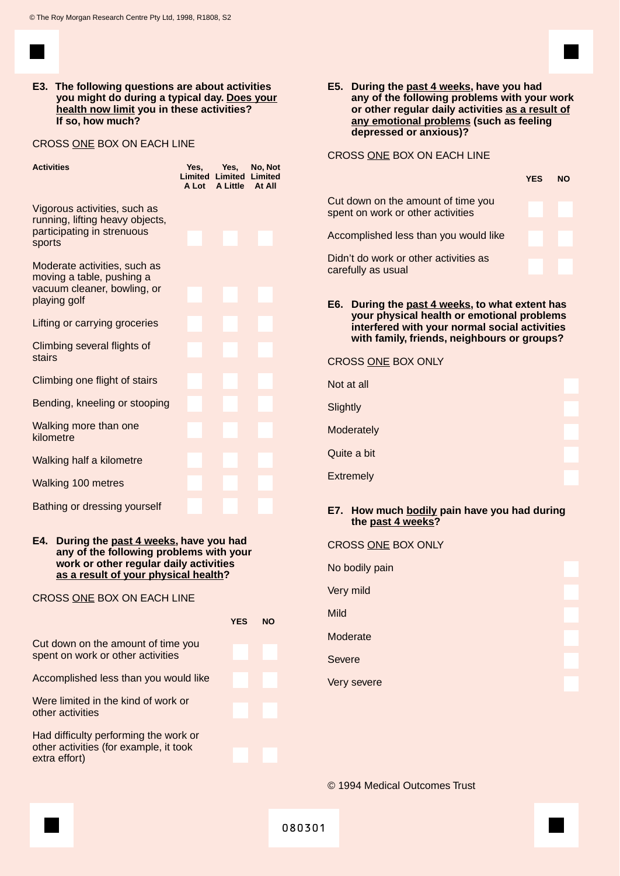

**E3. The following questions are about activities you might do during a typical day. Does your health now limit you in these activities? If so, how much?**

#### CROSS ONE BOX ON EACH LINE

| <b>Activities</b>                                                                                        |  | Yes, Yes,<br>A Lot A Little At All | No, Not<br><b>Limited Limited Limited</b> |
|----------------------------------------------------------------------------------------------------------|--|------------------------------------|-------------------------------------------|
| Vigorous activities, such as<br>running, lifting heavy objects,<br>participating in strenuous<br>sports  |  |                                    |                                           |
| Moderate activities, such as<br>moving a table, pushing a<br>vacuum cleaner, bowling, or<br>playing golf |  |                                    |                                           |
| Lifting or carrying groceries                                                                            |  |                                    |                                           |
| Climbing several flights of<br>stairs                                                                    |  |                                    |                                           |
| Climbing one flight of stairs                                                                            |  |                                    |                                           |
| Bending, kneeling or stooping                                                                            |  |                                    |                                           |
| Walking more than one<br>kilometre                                                                       |  |                                    |                                           |
| Walking half a kilometre                                                                                 |  |                                    |                                           |
| <b>Walking 100 metres</b>                                                                                |  |                                    |                                           |
| Bathing or dressing yourself                                                                             |  |                                    |                                           |

#### **E4. During the past 4 weeks, have you had any of the following problems with your work or other regular daily activities as a result of your physical health?**

#### CROSS ONE BOX ON EACH LINE

|                                                                         | <b>YES</b> | מא |
|-------------------------------------------------------------------------|------------|----|
| Cut down on the amount of time you<br>spent on work or other activities |            |    |
| Accomplished less than you would like                                   |            |    |
| Were limited in the kind of work or<br>other activities                 |            |    |
| Had difficulty performing the work or                                   |            |    |
| other activities (for example, it took<br>extra effort)                 |            |    |

CROSS ONE BOX ON EACH LINE

|                                                                         | YFS | NΩ |
|-------------------------------------------------------------------------|-----|----|
| Cut down on the amount of time you<br>spent on work or other activities |     |    |
| Accomplished less than you would like                                   |     |    |
| Didn't do work or other activities as<br>carefully as usual             |     |    |
|                                                                         |     |    |

**E6. During the past 4 weeks, to what extent has your physical health or emotional problems interfered with your normal social activities with family, friends, neighbours or groups?**

#### CROSS ONE BOX ONLY

| Not at all       |  |
|------------------|--|
| Slightly         |  |
| Moderately       |  |
| Quite a bit      |  |
| <b>Extremely</b> |  |

#### **E7. How much bodily pain have you had during the past 4 weeks?**

| CROSS ONE BOX ONLY |  |
|--------------------|--|
| No bodily pain     |  |
| Very mild          |  |
| <b>Mild</b>        |  |
| Moderate           |  |
| <b>Severe</b>      |  |
| Very severe        |  |
|                    |  |

© 1994 Medical Outcomes Trust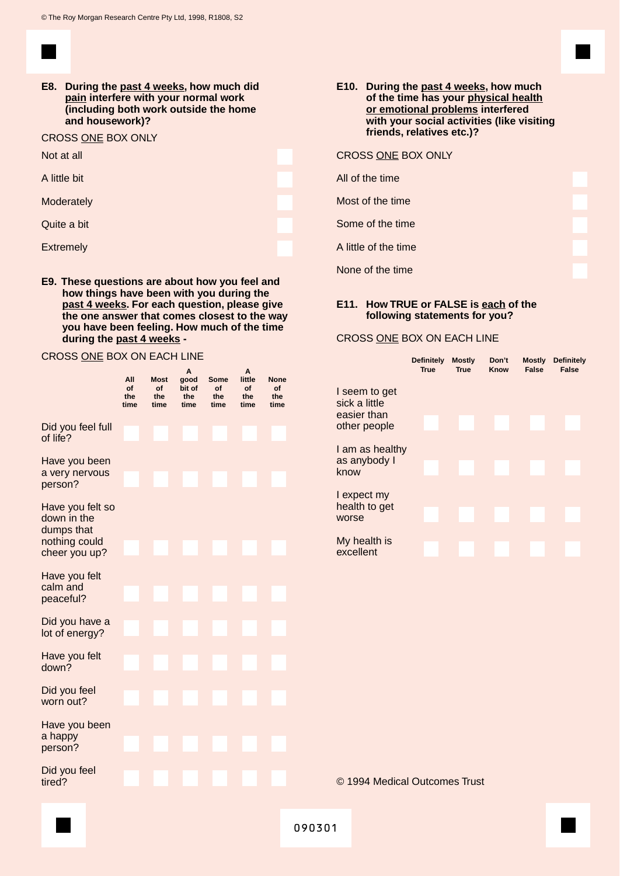**E8. During the past 4 weeks, how much did pain interfere with your normal work (including both work outside the home and housework)?**

#### CROSS ONE BOX ONLY

| Not at all |  |
|------------|--|
|------------|--|

A little bit

**Moderately** 

Quite a bit

**Extremely** 

**E9. These questions are about how you feel and how things have been with you during the past 4 weeks. For each question, please give the one answer that comes closest to the way you have been feeling. How much of the time during the past 4 weeks -**

#### CROSS ONE BOX ON EACH LINE

|                                                                                 | All<br>of<br>the<br>time | <b>Most</b><br>of<br>the<br>time | Α<br>good<br>bit of<br>the<br>time | Some<br>of<br>the<br>time | A<br>little<br>of<br>the<br>time | <b>None</b><br>of<br>the<br>time |
|---------------------------------------------------------------------------------|--------------------------|----------------------------------|------------------------------------|---------------------------|----------------------------------|----------------------------------|
| Did you feel full<br>of life?                                                   |                          |                                  |                                    |                           |                                  |                                  |
| Have you been<br>a very nervous<br>person?                                      |                          |                                  |                                    |                           |                                  |                                  |
| Have you felt so<br>down in the<br>dumps that<br>nothing could<br>cheer you up? |                          |                                  |                                    |                           |                                  |                                  |
| Have you felt<br>calm and<br>peaceful?                                          |                          |                                  |                                    |                           |                                  |                                  |
| Did you have a<br>lot of energy?                                                |                          |                                  |                                    |                           |                                  |                                  |
| Have you felt<br>down?                                                          |                          |                                  |                                    |                           |                                  |                                  |
| Did you feel<br>worn out?                                                       |                          |                                  |                                    |                           |                                  |                                  |
| Have you been<br>a happy<br>person?                                             |                          |                                  |                                    |                           |                                  |                                  |
| Did you feel<br>tired?                                                          |                          |                                  |                                    |                           |                                  |                                  |

#### CROSS ONE BOX ONLY

All of the time

Most of the time

Some of the time

A little of the time

None of the time

#### **E11. How TRUE or FALSE is each of the following statements for you?**

#### CROSS ONE BOX ON EACH LINE

|                                                               | <b>Definitely</b><br><b>True</b> | <b>Mostly</b><br><b>True</b> | Don't<br>Know | <b>Mostly</b><br>False | <b>Definitely</b><br><b>False</b> |
|---------------------------------------------------------------|----------------------------------|------------------------------|---------------|------------------------|-----------------------------------|
| I seem to get<br>sick a little<br>easier than<br>other people |                                  |                              |               |                        |                                   |
| I am as healthy<br>as anybody I<br>know                       |                                  |                              |               |                        |                                   |
| I expect my<br>health to get<br>worse                         |                                  |                              |               |                        |                                   |
| My health is<br>excellent                                     |                                  |                              |               |                        |                                   |

© 1994 Medical Outcomes Trust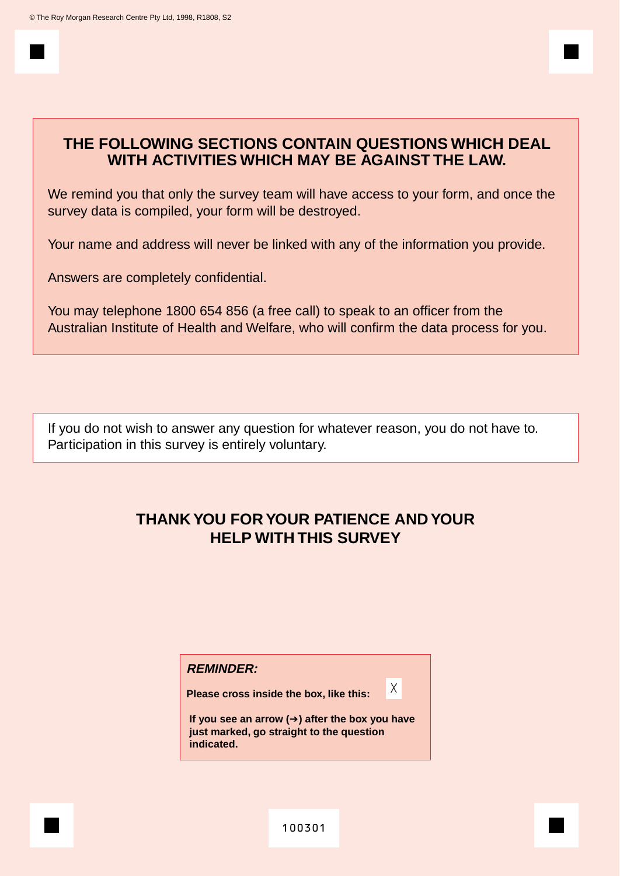## **THE FOLLOWING SECTIONS CONTAIN QUESTIONS WHICH DEAL WITH ACTIVITIES WHICH MAY BE AGAINST THE LAW.**

We remind you that only the survey team will have access to your form, and once the survey data is compiled, your form will be destroyed.

Your name and address will never be linked with any of the information you provide.

Answers are completely confidential.

You may telephone 1800 654 856 (a free call) to speak to an officer from the Australian Institute of Health and Welfare, who will confirm the data process for you.

If you do not wish to answer any question for whatever reason, you do not have to. Participation in this survey is entirely voluntary.

## **THANK YOU FOR YOUR PATIENCE AND YOUR HELP WITH THIS SURVEY**

#### **REMINDER:**

**Please cross inside the box, like this:**

**If you see an arrow (**➔**) after the box you have just marked, go straight to the question indicated.**

X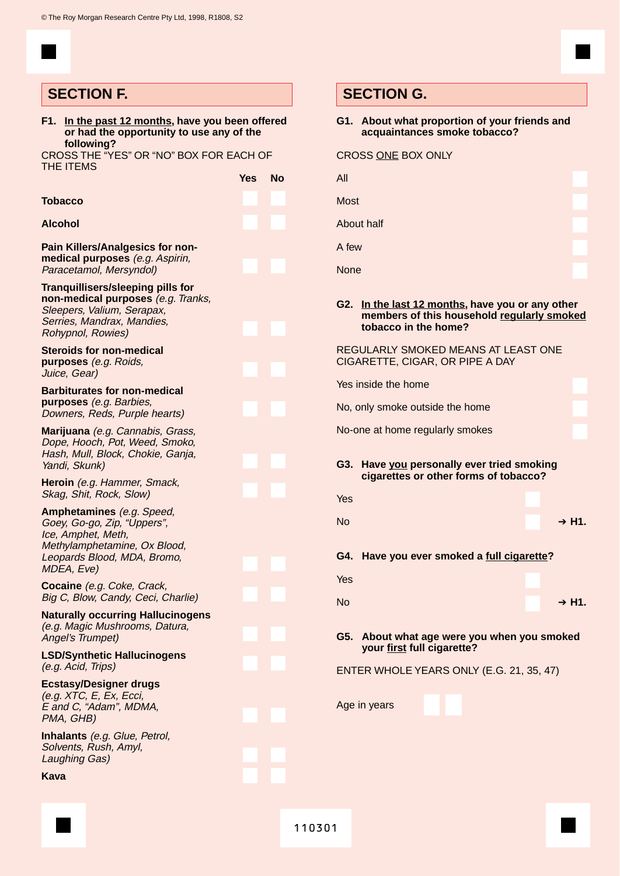## **SECTION F. SECTION G.**

| F1. In the past 12 months, have you been offered<br>or had the opportunity to use any of the                                                                |                         | G1. About what proportion of your friends and<br>acquaintances smoke tobacco?                                          |
|-------------------------------------------------------------------------------------------------------------------------------------------------------------|-------------------------|------------------------------------------------------------------------------------------------------------------------|
| following?<br>CROSS THE "YES" OR "NO" BOX FOR EACH OF<br><b>THE ITEMS</b>                                                                                   |                         | <b>CROSS ONE BOX ONLY</b>                                                                                              |
|                                                                                                                                                             | <b>No</b><br><b>Yes</b> | All                                                                                                                    |
| Tobacco                                                                                                                                                     |                         | <b>Most</b>                                                                                                            |
| Alcohol                                                                                                                                                     |                         | About half                                                                                                             |
| <b>Pain Killers/Analgesics for non-</b><br>medical purposes (e.g. Aspirin,<br>Paracetamol, Mersyndol)                                                       |                         | A few<br><b>None</b>                                                                                                   |
| Tranquillisers/sleeping pills for<br>non-medical purposes (e.g. Tranks,<br>Sleepers, Valium, Serapax,<br>Serries, Mandrax, Mandies,<br>Rohypnol, Rowies)    |                         | G2. In the last 12 months, have you or any other<br>members of this household regularly smoked<br>tobacco in the home? |
| <b>Steroids for non-medical</b><br>purposes (e.g. Roids,<br>Juice, Gear)                                                                                    |                         | REGULARLY SMOKED MEANS AT LEAST ONE<br>CIGARETTE, CIGAR, OR PIPE A DAY                                                 |
| <b>Barbiturates for non-medical</b><br>purposes (e.g. Barbies,<br>Downers, Reds, Purple hearts)                                                             |                         | Yes inside the home<br>No, only smoke outside the home                                                                 |
| Marijuana (e.g. Cannabis, Grass,<br>Dope, Hooch, Pot, Weed, Smoko,<br>Hash, Mull, Block, Chokie, Ganja,<br>Yandi, Skunk)                                    |                         | No-one at home regularly smokes<br>G3. Have you personally ever tried smoking                                          |
| Heroin (e.g. Hammer, Smack,<br>Skag, Shit, Rock, Slow)                                                                                                      |                         | cigarettes or other forms of tobacco?<br>Yes                                                                           |
| Amphetamines (e.g. Speed,<br>Goey, Go-go, Zip, "Uppers",<br>Ice, Amphet, Meth,<br>Methylamphetamine, Ox Blood,<br>Leopards Blood, MDA, Bromo,<br>MDEA, Eve) |                         | <b>No</b><br>$+ H1.$<br>G4. Have you ever smoked a full cigarette?                                                     |
| Cocaine (e.g. Coke, Crack,<br>Big C, Blow, Candy, Ceci, Charlie)                                                                                            |                         | Yes<br><b>No</b><br>$+ H1.$                                                                                            |
| <b>Naturally occurring Hallucinogens</b><br>(e.g. Magic Mushrooms, Datura,<br>Angel's Trumpet)                                                              |                         | G5. About what age were you when you smoked<br>your first full cigarette?                                              |
| <b>LSD/Synthetic Hallucinogens</b><br>(e.g. Acid, Trips)                                                                                                    |                         | ENTER WHOLE YEARS ONLY (E.G. 21, 35, 47)                                                                               |
| <b>Ecstasy/Designer drugs</b><br>(e.g. XTC, E, Ex, Ecci,<br>E and C, "Adam", MDMA,<br>PMA, GHB)                                                             |                         | Age in years                                                                                                           |
| <b>Inhalants</b> (e.g. Glue, Petrol,<br>Solvents, Rush, Amyl,<br><b>Laughing Gas)</b>                                                                       |                         |                                                                                                                        |
| Kava                                                                                                                                                        |                         |                                                                                                                        |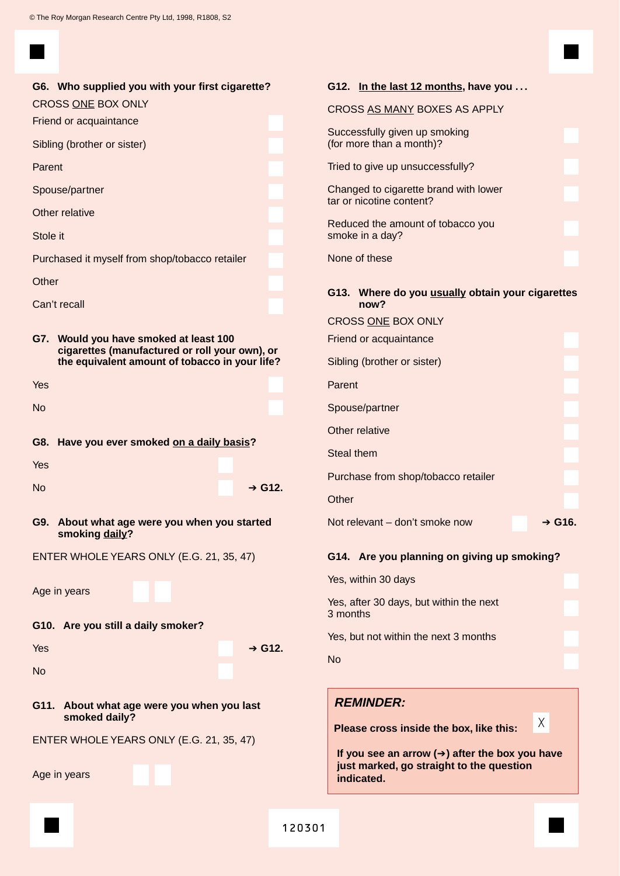| G6. Who supplied you with your first cigarette?                                             | G <sub>12</sub> . |
|---------------------------------------------------------------------------------------------|-------------------|
| <b>CROSS ONE BOX ONLY</b>                                                                   | <b>CROS</b>       |
| Friend or acquaintance<br>Sibling (brother or sister)                                       | Succe<br>(for m   |
| Parent                                                                                      | <b>Tried t</b>    |
| Spouse/partner                                                                              | Chang             |
| Other relative                                                                              | tar or            |
| Stole it                                                                                    | Reduo<br>smoke    |
| Purchased it myself from shop/tobacco retailer                                              | <b>None</b>       |
| Other                                                                                       |                   |
| Can't recall                                                                                | G13.              |
|                                                                                             | <b>CROS</b>       |
| G7.<br>Would you have smoked at least 100<br>cigarettes (manufactured or roll your own), or | Friend            |
| the equivalent amount of tobacco in your life?                                              | Sibling           |
| Yes                                                                                         | Paren             |
| <b>No</b>                                                                                   | Spous             |
|                                                                                             | Other             |
| G8. Have you ever smoked on a daily basis?                                                  | Steal t           |
| Yes                                                                                         | Purch             |
| <b>No</b><br>$\div$ G12.                                                                    | Other             |
| About what age were you when you started<br>G9.<br>smoking daily?                           | Not re            |
| ENTER WHOLE YEARS ONLY (E.G. 21, 35, 47)                                                    | G14.              |
|                                                                                             | Yes, w            |
| Age in years                                                                                | Yes, a            |
| G10. Are you still a daily smoker?                                                          | 3 mon             |
| Yes<br>$\div$ G12.                                                                          | Yes, b            |
| <b>No</b>                                                                                   | <b>No</b>         |
|                                                                                             | <b>REI</b>        |
| G11.<br>About what age were you when you last<br>smoked daily?                              |                   |
| ENTER WHOLE YEARS ONLY (E.G. 21, 35, 47)                                                    | Plea              |
|                                                                                             | If yo<br>just     |
| Age in years                                                                                | indi              |
|                                                                                             |                   |
|                                                                                             |                   |

| CROSS AS MANY BOXES AS APPLY                                      |
|-------------------------------------------------------------------|
| Successfully given up smoking<br>(for more than a month)?         |
| Tried to give up unsuccessfully?                                  |
| Changed to cigarette brand with lower<br>tar or nicotine content? |
| Reduced the amount of tobacco you<br>smoke in a day?              |
| None of these                                                     |
| G13. Where do you usually obtain your cigarettes<br>now?          |
| <b>CROSS ONE BOX ONLY</b>                                         |
| Friend or acquaintance                                            |
| Sibling (brother or sister)                                       |
| Parent                                                            |
| Spouse/partner                                                    |
| Other relative                                                    |
| <b>Steal them</b>                                                 |
| Purchase from shop/tobacco retailer                               |
| Other                                                             |
| Not relevant - don't smoke now<br>$\div$ G16.                     |
|                                                                   |

**G12. In the last 12 months, have you . . .**

### **G14. Are you planning on giving up smoking?**

| Yes, within 30 days                                 |  |
|-----------------------------------------------------|--|
| Yes, after 30 days, but within the next<br>3 months |  |
| Yes, but not within the next 3 months               |  |
| N <sub>0</sub>                                      |  |
|                                                     |  |

## **REMINDER:**

**Please cross inside the box, like this:**

**If you see an arrow (**➔**) after the box you have imarked, go straight to the question icated.** 

X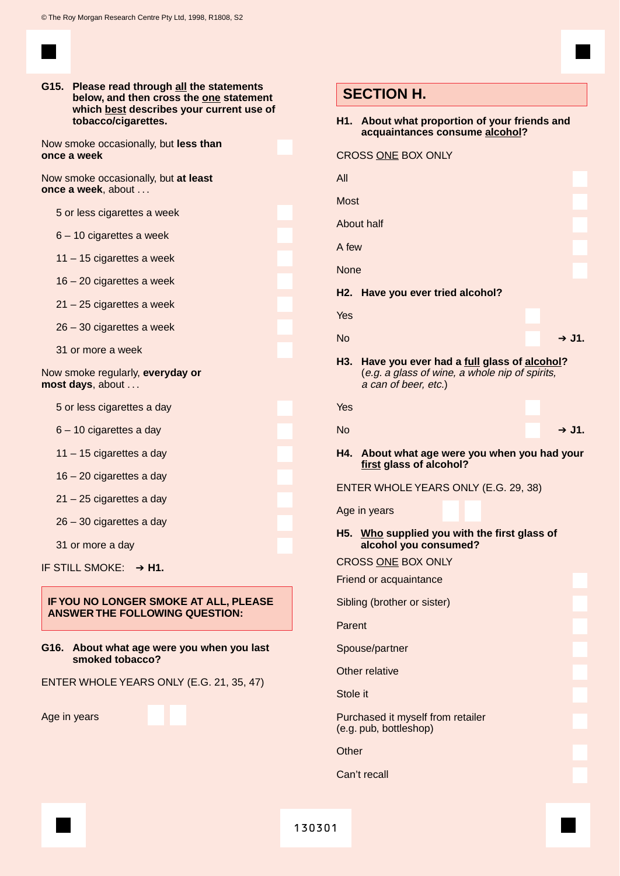**G15. Please read through all the statements below, and then cross the one statement which best describes your current use of tobacco/cigarettes.**

Now smoke occasionally, but **less than once a week**

Now smoke occasionally, but **at least once a week**, about . . .

5 or less cigarettes a week

- 6 10 cigarettes a week
- 11 15 cigarettes a week
- 16 20 cigarettes a week
- 21 25 cigarettes a week
- 26 30 cigarettes a week
- 31 or more a week

Now smoke regularly, **everyday or most days**, about . . .

5 or less cigarettes a day

- 6 10 cigarettes a day
- 11 15 cigarettes a day
- 16 20 cigarettes a day
- 21 25 cigarettes a day

26 – 30 cigarettes a day

31 or more a day

IF STILL SMOKE: ➔ **H1.**

#### **IF YOU NO LONGER SMOKE AT ALL, PLEASE ANSWER THE FOLLOWING QUESTION:**

#### **G16. About what age were you when you last smoked tobacco?**

ENTER WHOLE YEARS ONLY (E.G. 21, 35, 47)

Age in years

#### **H1. About what proportion of your friends and acquaintances consume alcohol?**

|             | <b>CROSS ONE BOX ONLY</b>                                                                                            |  |
|-------------|----------------------------------------------------------------------------------------------------------------------|--|
| All         |                                                                                                                      |  |
| <b>Most</b> |                                                                                                                      |  |
|             | About half                                                                                                           |  |
| A few       |                                                                                                                      |  |
| <b>None</b> |                                                                                                                      |  |
| H2.         | Have you ever tried alcohol?                                                                                         |  |
| Yes         |                                                                                                                      |  |
| <b>No</b>   | $+$ J1.                                                                                                              |  |
| H3.         | Have you ever had a full glass of alcohol?<br>(e.g. a glass of wine, a whole nip of spirits,<br>a can of beer, etc.) |  |
| Yes         |                                                                                                                      |  |
| <b>No</b>   | → J1.                                                                                                                |  |
| H4.         | About what age were you when you had your<br>first glass of alcohol?                                                 |  |
|             | ENTER WHOLE YEARS ONLY (E.G. 29, 38)                                                                                 |  |
|             |                                                                                                                      |  |
|             | Age in years                                                                                                         |  |
|             | H5. Who supplied you with the first glass of<br>alcohol you consumed?                                                |  |
|             | <b>CROSS ONE BOX ONLY</b>                                                                                            |  |
|             | Friend or acquaintance                                                                                               |  |
|             | Sibling (brother or sister)                                                                                          |  |
| Parent      |                                                                                                                      |  |
|             | Spouse/partner                                                                                                       |  |
|             | Other relative                                                                                                       |  |
| Stole it    |                                                                                                                      |  |
|             | Purchased it myself from retailer<br>(e.g. pub, bottleshop)                                                          |  |
| Other       |                                                                                                                      |  |
|             | Can't recall                                                                                                         |  |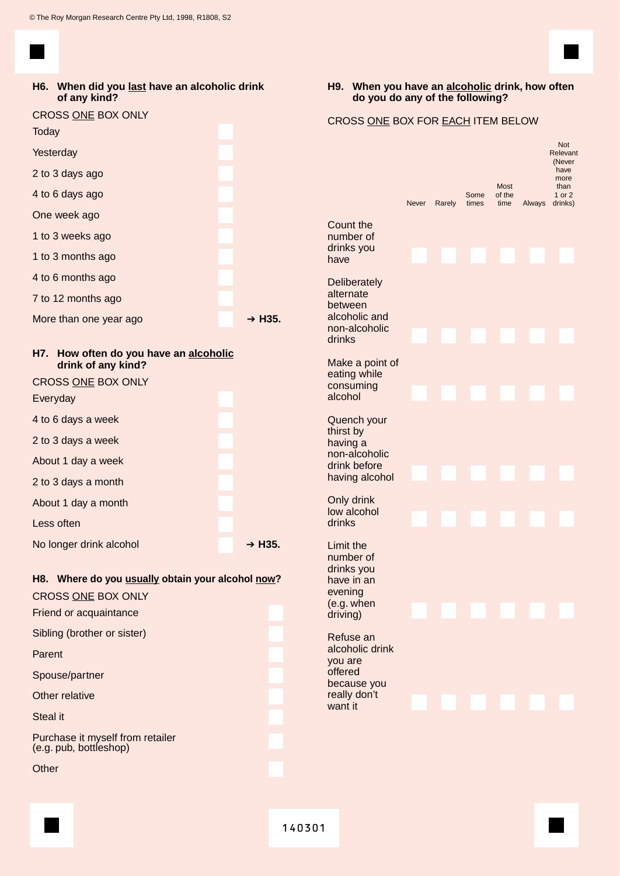#### **H6. When did you last have an alcoholic drink of any kind?**

| <b>CROSS ONE BOX ONLY</b><br><b>Today</b>                       |        |
|-----------------------------------------------------------------|--------|
| Yesterday                                                       |        |
| 2 to 3 days ago                                                 |        |
| 4 to 6 days ago                                                 |        |
| One week ago                                                    |        |
| 1 to 3 weeks ago                                                |        |
| 1 to 3 months ago                                               |        |
| 4 to 6 months ago                                               |        |
| 7 to 12 months ago                                              |        |
| More than one year ago                                          | → H35. |
| H7.<br>How often do you have an alcoholic<br>drink of any kind? |        |
|                                                                 |        |
| CROSS ONE BOX ONLY                                              |        |
| Everyday                                                        |        |
| 4 to 6 days a week                                              |        |
| 2 to 3 days a week                                              |        |
| About 1 day a week                                              |        |
| 2 to 3 days a month                                             |        |
| About 1 day a month                                             |        |
| Less often                                                      |        |
| No longer drink alcohol                                         | → H35. |

#### **H8. Where do you usually obtain your alcohol now?** CROSS ONE BOX ONLY

| CROSS ONE BOX ONLY                                         |  |
|------------------------------------------------------------|--|
| Friend or acquaintance                                     |  |
| Sibling (brother or sister)                                |  |
| Parent                                                     |  |
| Spouse/partner                                             |  |
| Other relative                                             |  |
| Steal it                                                   |  |
| Purchase it myself from retailer<br>(e.g. pub, bottleshop) |  |

**Other** 

## **H9. When you have an alcoholic drink, how often do you do any of the following?**

### CROSS ONE BOX FOR EACH ITEM BELOW

|                                                                                              | <b>Never</b> | Rarely | Some<br>times | <b>Most</b><br>of the<br>time | Always | Not<br>Relevant<br>(Never<br>have<br>more<br>than<br>1 or 2<br>drinks) |
|----------------------------------------------------------------------------------------------|--------------|--------|---------------|-------------------------------|--------|------------------------------------------------------------------------|
| Count the<br>number of<br>drinks you<br>have                                                 |              |        |               |                               |        |                                                                        |
| Deliberately<br>alternate<br>between<br>alcoholic and<br>non-alcoholic<br>drinks             |              |        |               |                               |        |                                                                        |
| Make a point of<br>eating while<br>consuming<br>alcohol                                      |              |        |               |                               |        |                                                                        |
| Quench your<br>thirst by<br>having a<br>non-alcoholic<br>drink before<br>having alcohol      |              |        |               |                               |        |                                                                        |
| Only drink<br>low alcohol<br>drinks                                                          |              |        |               |                               |        |                                                                        |
| Limit the<br>number of<br>drinks you<br>have in an<br>evening<br>(e.g. when<br>driving)      |              |        |               |                               |        |                                                                        |
| Refuse an<br>alcoholic drink<br>you are<br>offered<br>because you<br>really don't<br>want it |              |        |               |                               |        |                                                                        |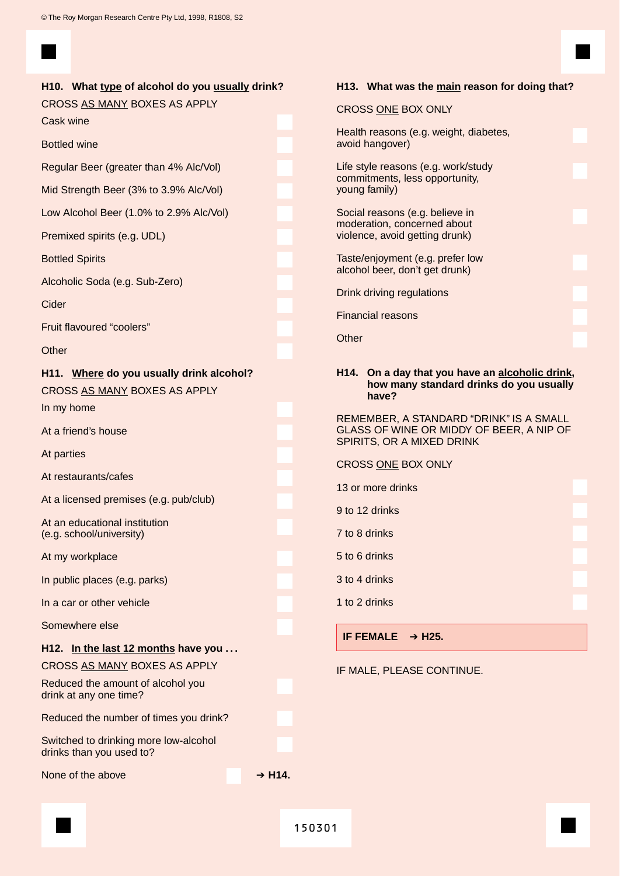| H10. What <u>type</u> of alcohol do you <u>usually</u> drink? |  |  |  |  |  |
|---------------------------------------------------------------|--|--|--|--|--|
|---------------------------------------------------------------|--|--|--|--|--|

CROSS AS MANY BOXES AS APPLY

Cask wine

Bottled wine

Regular Beer (greater than 4% Alc/Vol)

Mid Strength Beer (3% to 3.9% Alc/Vol)

Low Alcohol Beer (1.0% to 2.9% Alc/Vol)

Premixed spirits (e.g. UDL)

Bottled Spirits

Alcoholic Soda (e.g. Sub-Zero)

Cider

Fruit flavoured "coolers"

**Other** 

**H11. Where do you usually drink alcohol?** CROSS AS MANY BOXES AS APPLY In my home

At a friend's house

At parties

At restaurants/cafes

At a licensed premises (e.g. pub/club)

At an educational institution (e.g. school/university)

At my workplace

In public places (e.g. parks)

In a car or other vehicle

Somewhere else

#### **H12. In the last 12 months have you . . .**

CROSS AS MANY BOXES AS APPLY

Reduced the amount of alcohol you drink at any one time? Reduced the number of times you drink?

Switched to drinking more low-alcohol drinks than you used to?

None of the above **→ H14.** 

**H13. What was the main reason for doing that?**

#### CROSS ONE BOX ONLY

Health reasons (e.g. weight, diabetes, avoid hangover)

Life style reasons (e.g. work/study commitments, less opportunity, young family)

Social reasons (e.g. believe in moderation, concerned about violence, avoid getting drunk)

Taste/enjoyment (e.g. prefer low alcohol beer, don't get drunk)

Drink driving regulations

Financial reasons

**Other** 

#### **H14. On a day that you have an alcoholic drink, how many standard drinks do you usually have?**

REMEMBER, A STANDARD "DRINK" IS A SMALL GLASS OF WINE OR MIDDY OF BEER, A NIP OF SPIRITS, OR A MIXED DRINK

- CROSS ONE BOX ONLY
- 13 or more drinks
- 9 to 12 drinks
- 7 to 8 drinks
- 5 to 6 drinks
- 3 to 4 drinks
- 1 to 2 drinks

**IF FEMALE** ➔ **H25.**

IF MALE, PLEASE CONTINUE.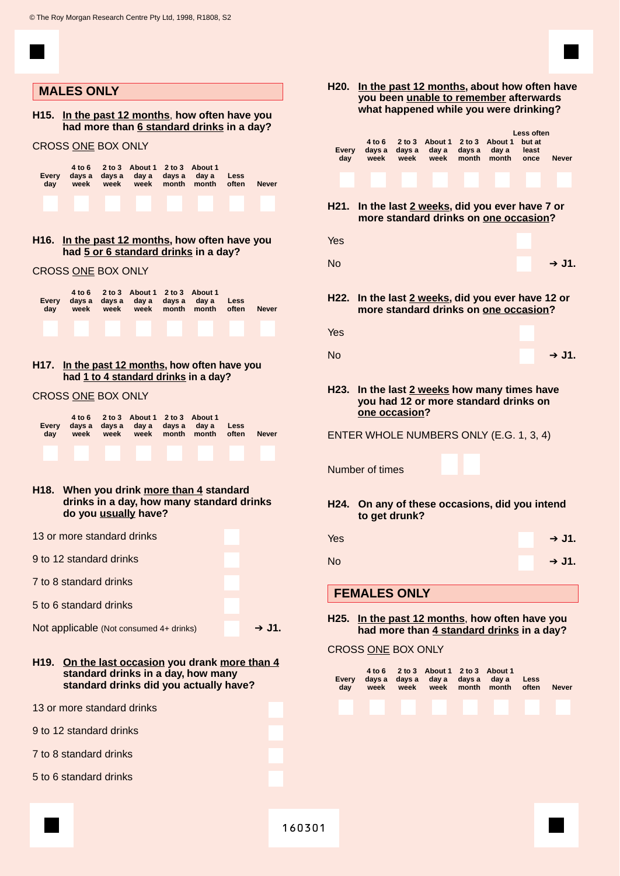

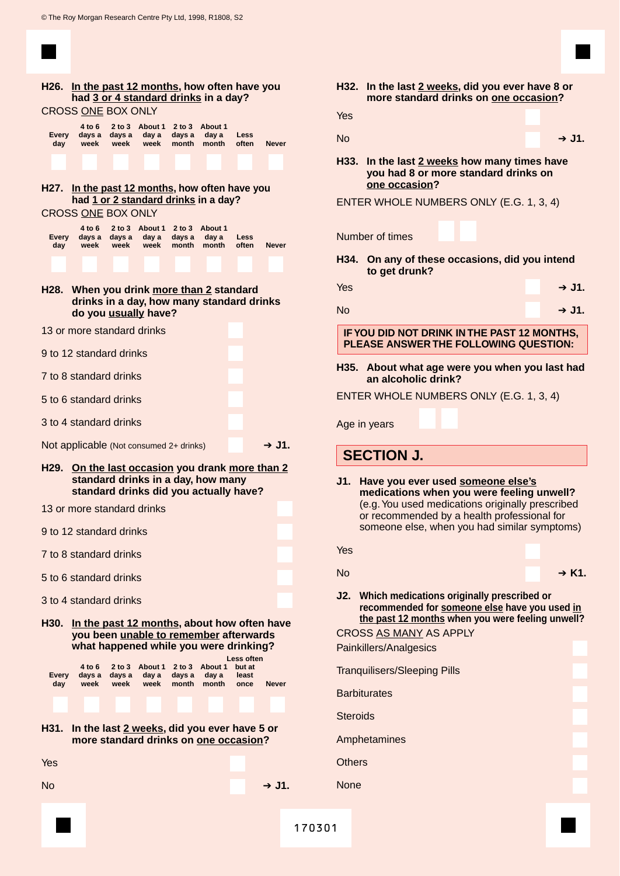|                                         |                          |                          |                                 |                           | H26. In the past 12 months, how often have you<br>had 3 or 4 standard drinks in a day?                                          |                         |              |
|-----------------------------------------|--------------------------|--------------------------|---------------------------------|---------------------------|---------------------------------------------------------------------------------------------------------------------------------|-------------------------|--------------|
| <b>CROSS ONE BOX ONLY</b>               | 4 to 6                   |                          | 2 to 3 About 1                  | 2 to 3                    | About 1                                                                                                                         |                         |              |
| Every<br>day                            | days a<br>week           | days a<br>week           | day a<br>week                   | davs a<br>month           | day a<br>month                                                                                                                  | Less<br>often           | <b>Never</b> |
|                                         |                          |                          |                                 |                           |                                                                                                                                 |                         |              |
|                                         |                          |                          |                                 |                           | H27. In the past 12 months, how often have you<br>had 1 or 2 standard drinks in a day?                                          |                         |              |
| <b>CROSS ONE BOX ONLY</b>               |                          |                          |                                 |                           |                                                                                                                                 |                         |              |
| Every<br>day                            | 4 to 6<br>days a<br>week | days a<br>week           | 2 to 3 About 1<br>day a<br>week | 2 to 3<br>days a<br>month | About 1<br>day a<br>month                                                                                                       | Less<br>often           | <b>Never</b> |
|                                         |                          |                          |                                 |                           |                                                                                                                                 |                         |              |
|                                         | do you usually have?     |                          |                                 |                           | H28. When you drink more than 2 standard<br>drinks in a day, how many standard drinks                                           |                         |              |
| 13 or more standard drinks              |                          |                          |                                 |                           |                                                                                                                                 |                         |              |
| 9 to 12 standard drinks                 |                          |                          |                                 |                           |                                                                                                                                 |                         |              |
| 7 to 8 standard drinks                  |                          |                          |                                 |                           |                                                                                                                                 |                         |              |
| 5 to 6 standard drinks                  |                          |                          |                                 |                           |                                                                                                                                 |                         |              |
| 3 to 4 standard drinks                  |                          |                          |                                 |                           |                                                                                                                                 |                         |              |
| Not applicable (Not consumed 2+ drinks) |                          |                          |                                 |                           |                                                                                                                                 |                         | → J1.        |
| H29.                                    |                          |                          |                                 |                           | On the last occasion you drank more than 2<br>standard drinks in a day, how many<br>standard drinks did you actually have?      |                         |              |
| 13 or more standard drinks              |                          |                          |                                 |                           |                                                                                                                                 |                         |              |
| 9 to 12 standard drinks                 |                          |                          |                                 |                           |                                                                                                                                 |                         |              |
| 7 to 8 standard drinks                  |                          |                          |                                 |                           |                                                                                                                                 |                         |              |
| 5 to 6 standard drinks                  |                          |                          |                                 |                           |                                                                                                                                 |                         |              |
| 3 to 4 standard drinks                  |                          |                          |                                 |                           |                                                                                                                                 |                         |              |
| H30.                                    |                          |                          |                                 |                           | In the past 12 months, about how often have<br>you been unable to remember afterwards<br>what happened while you were drinking? | <b>Less often</b>       |              |
| Every<br>day                            | 4 to 6<br>days a<br>week | 2 to 3<br>days a<br>week | About 1<br>day a<br>week        | 2 to 3<br>days a<br>month | About 1<br>day a<br>month                                                                                                       | but at<br>least<br>once | <b>Never</b> |
|                                         |                          |                          |                                 |                           |                                                                                                                                 |                         |              |
| H31.                                    |                          |                          |                                 |                           | In the last 2 weeks, did you ever have 5 or<br>more standard drinks on one occasion?                                            |                         |              |
| Yes                                     |                          |                          |                                 |                           |                                                                                                                                 |                         |              |
| No                                      |                          |                          |                                 |                           |                                                                                                                                 |                         | $+$ J1.      |
|                                         |                          |                          |                                 |                           |                                                                                                                                 |                         |              |

| $+$ J1.<br>H33. In the last 2 weeks how many times have<br>you had 8 or more standard drinks on<br>one occasion?<br>ENTER WHOLE NUMBERS ONLY (E.G. 1, 3, 4)<br>Number of times<br>H34. On any of these occasions, did you intend<br>to get drunk?<br>$+$ J1.<br>$+$ J1.<br>IF YOU DID NOT DRINK IN THE PAST 12 MONTHS,<br>PLEASE ANSWER THE FOLLOWING QUESTION:<br>H35. About what age were you when you last had<br>an alcoholic drink?<br>ENTER WHOLE NUMBERS ONLY (E.G. 1, 3, 4)<br>Age in years<br><b>SECTION J.</b><br>Have you ever used someone else's<br>medications when you were feeling unwell?<br>(e.g. You used medications originally prescribed<br>or recommended by a health professional for<br>someone else, when you had similar symptoms)<br>Yes<br>$\rightarrow$ K1.<br>J2. Which medications originally prescribed or<br>recommended for someone else have you used in<br>the past 12 months when you were feeling unwell?<br><b>CROSS AS MANY AS APPLY</b><br>Painkillers/Analgesics<br><b>Tranquilisers/Sleeping Pills</b><br><b>Barbiturates</b><br><b>Steroids</b><br>Amphetamines<br>Others<br><b>None</b> | Yes              |  | more standard drinks on one occasion? |
|---------------------------------------------------------------------------------------------------------------------------------------------------------------------------------------------------------------------------------------------------------------------------------------------------------------------------------------------------------------------------------------------------------------------------------------------------------------------------------------------------------------------------------------------------------------------------------------------------------------------------------------------------------------------------------------------------------------------------------------------------------------------------------------------------------------------------------------------------------------------------------------------------------------------------------------------------------------------------------------------------------------------------------------------------------------------------------------------------------------------------------------|------------------|--|---------------------------------------|
|                                                                                                                                                                                                                                                                                                                                                                                                                                                                                                                                                                                                                                                                                                                                                                                                                                                                                                                                                                                                                                                                                                                                       |                  |  |                                       |
|                                                                                                                                                                                                                                                                                                                                                                                                                                                                                                                                                                                                                                                                                                                                                                                                                                                                                                                                                                                                                                                                                                                                       | <b>No</b>        |  |                                       |
|                                                                                                                                                                                                                                                                                                                                                                                                                                                                                                                                                                                                                                                                                                                                                                                                                                                                                                                                                                                                                                                                                                                                       |                  |  |                                       |
|                                                                                                                                                                                                                                                                                                                                                                                                                                                                                                                                                                                                                                                                                                                                                                                                                                                                                                                                                                                                                                                                                                                                       |                  |  |                                       |
|                                                                                                                                                                                                                                                                                                                                                                                                                                                                                                                                                                                                                                                                                                                                                                                                                                                                                                                                                                                                                                                                                                                                       |                  |  |                                       |
|                                                                                                                                                                                                                                                                                                                                                                                                                                                                                                                                                                                                                                                                                                                                                                                                                                                                                                                                                                                                                                                                                                                                       |                  |  |                                       |
|                                                                                                                                                                                                                                                                                                                                                                                                                                                                                                                                                                                                                                                                                                                                                                                                                                                                                                                                                                                                                                                                                                                                       | Yes              |  |                                       |
|                                                                                                                                                                                                                                                                                                                                                                                                                                                                                                                                                                                                                                                                                                                                                                                                                                                                                                                                                                                                                                                                                                                                       | No               |  |                                       |
|                                                                                                                                                                                                                                                                                                                                                                                                                                                                                                                                                                                                                                                                                                                                                                                                                                                                                                                                                                                                                                                                                                                                       |                  |  |                                       |
|                                                                                                                                                                                                                                                                                                                                                                                                                                                                                                                                                                                                                                                                                                                                                                                                                                                                                                                                                                                                                                                                                                                                       |                  |  |                                       |
|                                                                                                                                                                                                                                                                                                                                                                                                                                                                                                                                                                                                                                                                                                                                                                                                                                                                                                                                                                                                                                                                                                                                       |                  |  |                                       |
|                                                                                                                                                                                                                                                                                                                                                                                                                                                                                                                                                                                                                                                                                                                                                                                                                                                                                                                                                                                                                                                                                                                                       |                  |  |                                       |
|                                                                                                                                                                                                                                                                                                                                                                                                                                                                                                                                                                                                                                                                                                                                                                                                                                                                                                                                                                                                                                                                                                                                       |                  |  |                                       |
|                                                                                                                                                                                                                                                                                                                                                                                                                                                                                                                                                                                                                                                                                                                                                                                                                                                                                                                                                                                                                                                                                                                                       |                  |  |                                       |
|                                                                                                                                                                                                                                                                                                                                                                                                                                                                                                                                                                                                                                                                                                                                                                                                                                                                                                                                                                                                                                                                                                                                       |                  |  |                                       |
|                                                                                                                                                                                                                                                                                                                                                                                                                                                                                                                                                                                                                                                                                                                                                                                                                                                                                                                                                                                                                                                                                                                                       |                  |  |                                       |
|                                                                                                                                                                                                                                                                                                                                                                                                                                                                                                                                                                                                                                                                                                                                                                                                                                                                                                                                                                                                                                                                                                                                       | J1.<br><b>No</b> |  |                                       |
|                                                                                                                                                                                                                                                                                                                                                                                                                                                                                                                                                                                                                                                                                                                                                                                                                                                                                                                                                                                                                                                                                                                                       |                  |  |                                       |
|                                                                                                                                                                                                                                                                                                                                                                                                                                                                                                                                                                                                                                                                                                                                                                                                                                                                                                                                                                                                                                                                                                                                       |                  |  |                                       |
|                                                                                                                                                                                                                                                                                                                                                                                                                                                                                                                                                                                                                                                                                                                                                                                                                                                                                                                                                                                                                                                                                                                                       |                  |  |                                       |
|                                                                                                                                                                                                                                                                                                                                                                                                                                                                                                                                                                                                                                                                                                                                                                                                                                                                                                                                                                                                                                                                                                                                       |                  |  |                                       |
|                                                                                                                                                                                                                                                                                                                                                                                                                                                                                                                                                                                                                                                                                                                                                                                                                                                                                                                                                                                                                                                                                                                                       |                  |  |                                       |
|                                                                                                                                                                                                                                                                                                                                                                                                                                                                                                                                                                                                                                                                                                                                                                                                                                                                                                                                                                                                                                                                                                                                       |                  |  |                                       |

**H32. In the last 2 weeks, did you ever have 8 or**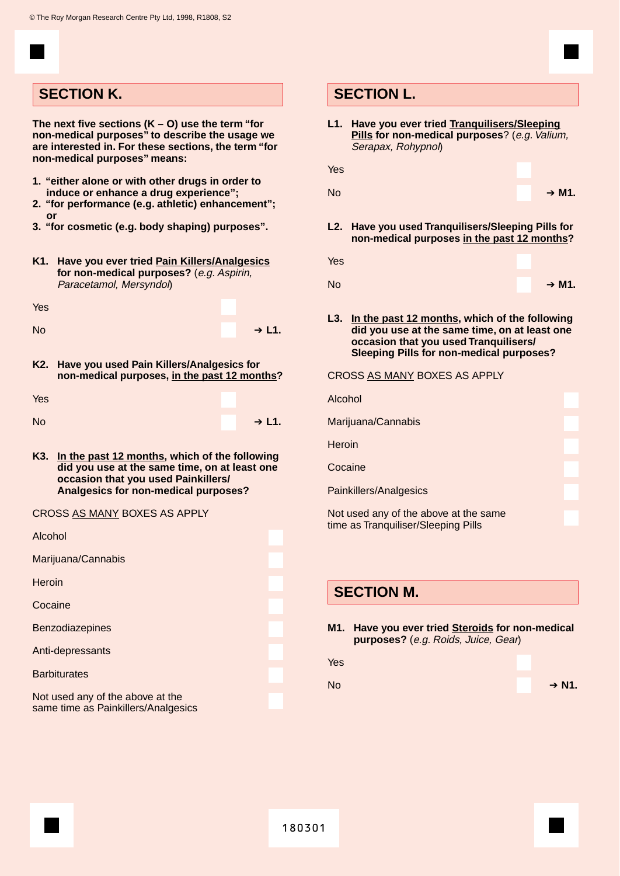## **SECTION K. SECTION L.**

**The next five sections (K – O) use the term "for non-medical purposes" to describe the usage we are interested in. For these sections, the term "for non-medical purposes" means:**

- **1. "either alone or with other drugs in order to induce or enhance a drug experience";**
- **2. "for performance (e.g. athletic) enhancement"; or**
- **3. "for cosmetic (e.g. body shaping) purposes".**
- **K1. Have you ever tried Pain Killers/Analgesics for non-medical purposes?** (e.g. Aspirin, Paracetamol, Mersyndol)

| Yes       |  |         |
|-----------|--|---------|
| <b>No</b> |  | $+ L1.$ |

**K2. Have you used Pain Killers/Analgesics for non-medical purposes, in the past 12 months?**

| Yes       |         |
|-----------|---------|
| <b>No</b> | $+ L1.$ |

**K3. In the past 12 months, which of the following did you use at the same time, on at least one occasion that you used Painkillers/ Analgesics for non-medical purposes?**

#### CROSS AS MANY BOXES AS APPLY

| Alcohol                                                                 |  |
|-------------------------------------------------------------------------|--|
| Marijuana/Cannabis                                                      |  |
| Heroin                                                                  |  |
| Cocaine                                                                 |  |
| <b>Benzodiazepines</b>                                                  |  |
| Anti-depressants                                                        |  |
| <b>Barbiturates</b>                                                     |  |
| Not used any of the above at the<br>same time as Painkillers/Analgesics |  |

**L1. Have you ever tried Tranquilisers/Sleeping Pills** for non-medical purposes? (e.g. Valium, Serapax, Rohypnol)

| Yes |         |
|-----|---------|
| No  | $+ M1.$ |

- **L2. Have you used Tranquilisers/Sleeping Pills for non-medical purposes in the past 12 months?**
- Yes
- No ➔ **M1.**
- **L3. In the past 12 months, which of the following did you use at the same time, on at least one occasion that you used Tranquilisers/ Sleeping Pills for non-medical purposes?**

#### CROSS AS MANY BOXES AS APPLY

| Alcohol                                                                      |  |
|------------------------------------------------------------------------------|--|
| Marijuana/Cannabis                                                           |  |
| Heroin                                                                       |  |
| Cocaine                                                                      |  |
| Painkillers/Analgesics                                                       |  |
| Not used any of the above at the same<br>time as Tranquiliser/Sleeping Pills |  |

## **SECTION M.**

- **M1. Have you ever tried Steroids for non-medical purposes?** (e.g. Roids, Juice, Gear)
- Yes

No **→ N1.** 

| <b>SECTION L</b> |  |  |
|------------------|--|--|
|                  |  |  |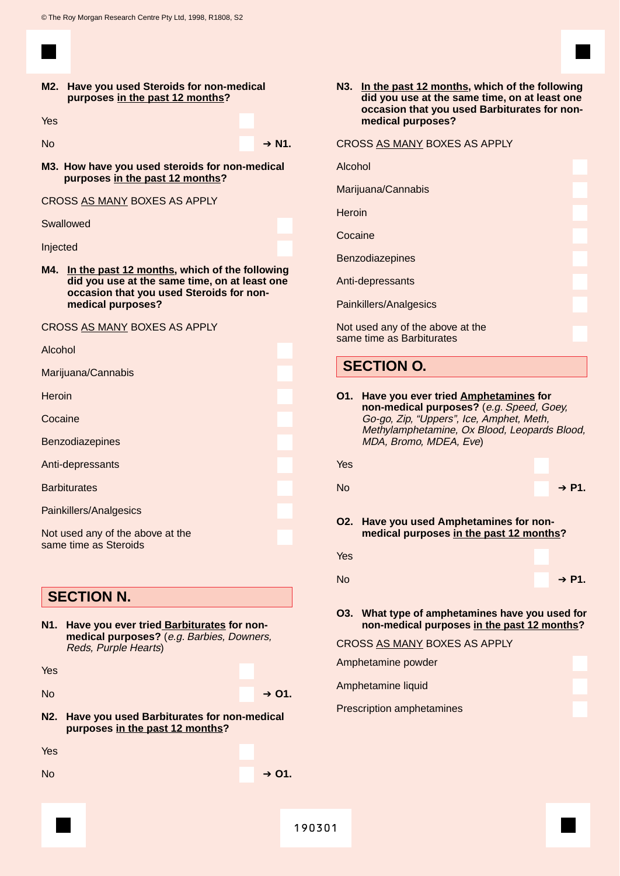**M2. Have you used Steroids for non-medical purposes in the past 12 months?**

Yes

- No **→ N1.** 
	-
- **M3. How have you used steroids for non-medical purposes in the past 12 months?**

CROSS AS MANY BOXES AS APPLY

#### Swallowed

Injected

**M4. In the past 12 months, which of the following did you use at the same time, on at least one occasion that you used Steroids for nonmedical purposes?**

#### CROSS AS MANY BOXES AS APPLY

| Alcohol                                                   |  |
|-----------------------------------------------------------|--|
| Marijuana/Cannabis                                        |  |
| Heroin                                                    |  |
| Cocaine                                                   |  |
| Benzodiazepines                                           |  |
| Anti-depressants                                          |  |
| <b>Barbiturates</b>                                       |  |
| Painkillers/Analgesics                                    |  |
| Not used any of the above at the<br>same time as Steroids |  |

## **SECTION N.**

**N1. Have you ever tried Barbiturates for nonmedical purposes?** (e.g. Barbies, Downers, Reds, Purple Hearts)

- No ➔ **O1.**
- **N2. Have you used Barbiturates for non-medical purposes in the past 12 months?**

Yes

No ➔ **O1.**

**N3. In the past 12 months, which of the following did you use at the same time, on at least one occasion that you used Barbiturates for nonmedical purposes?**

#### CROSS AS MANY BOXES AS APPLY

| Alcohol                                                       |  |
|---------------------------------------------------------------|--|
| Marijuana/Cannabis                                            |  |
| Heroin                                                        |  |
| Cocaine                                                       |  |
| <b>Benzodiazepines</b>                                        |  |
| Anti-depressants                                              |  |
| Painkillers/Analgesics                                        |  |
| Not used any of the above at the<br>same time as Barbiturates |  |

## **SECTION O.**

| O1. | Have you ever tried Amphetamines for<br>non-medical purposes? (e.g. Speed, Goey,<br>Go-go, Zip, "Uppers", Ice, Amphet, Meth,<br>Methylamphetamine, Ox Blood, Leopards Blood,<br>MDA, Bromo, MDEA, Eve) |                   |
|-----|--------------------------------------------------------------------------------------------------------------------------------------------------------------------------------------------------------|-------------------|
| Yes |                                                                                                                                                                                                        |                   |
| No  |                                                                                                                                                                                                        | $\rightarrow$ P1. |
|     | O2. Have you used Amphetamines for non-<br>medical purposes in the past 12 months?                                                                                                                     |                   |
| Yes |                                                                                                                                                                                                        |                   |
| No  |                                                                                                                                                                                                        | $\rightarrow$ P1. |
|     | O3. What type of amphetamines have you used for<br>non-medical purposes in the past 12 months?                                                                                                         |                   |
|     | CROSS AS MANY BOXES AS APPLY                                                                                                                                                                           |                   |
|     | Amphetamine powder                                                                                                                                                                                     |                   |
|     | Amphetamine liquid                                                                                                                                                                                     |                   |
|     | <b>Prescription amphetamines</b>                                                                                                                                                                       |                   |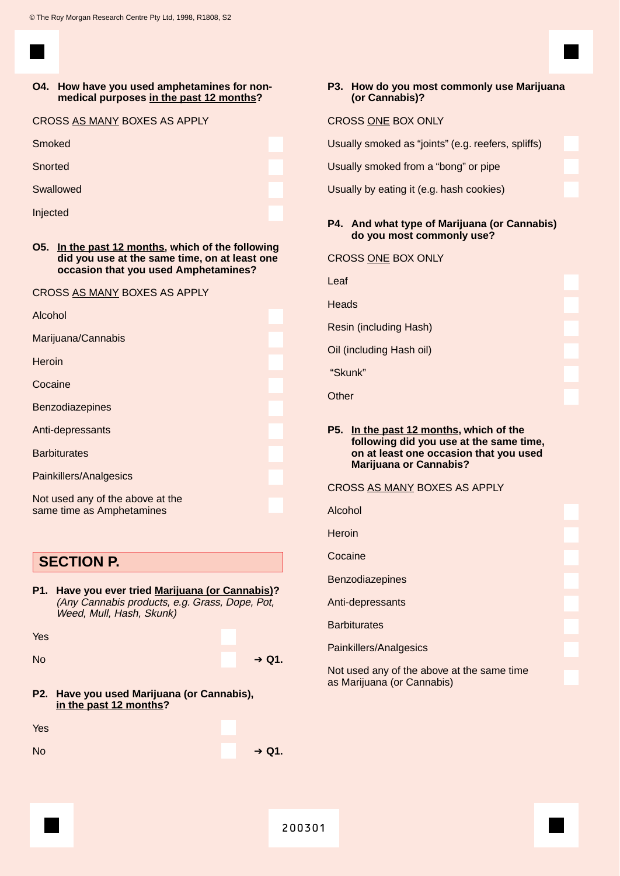CROSS AS MANY BOXES AS A MANY BOXES

#### **O4. How have you used amphetamines for nonmedical purposes in the past 12 months?**

| CROSS AS MANY BOXES AS APPLY |
|------------------------------|
| Smoked                       |
| Snorted                      |
| Swallowed                    |
| Injected                     |

**O5. In the past 12 months, which of the following did you use at the same time, on at least one occasion that you used Amphetamines?**

#### CROSS AS MANY BOXES AS APPLY

| Alcohol                          |  |
|----------------------------------|--|
| Marijuana/Cannabis               |  |
| <b>Heroin</b>                    |  |
| Cocaine                          |  |
| <b>Benzodiazepines</b>           |  |
| Anti-depressants                 |  |
| <b>Barbiturates</b>              |  |
| Painkillers/Analgesics           |  |
| Not used any of the above at the |  |

## **SECTION P.**

same time as Amphetamines

**P1. Have you ever tried Marijuana (or Cannabis)?** (Any Cannabis products, e.g. Grass, Dope, Pot, Weed, Mull, Hash, Skunk)

| Yes       |                   |
|-----------|-------------------|
| <b>No</b> | $\rightarrow$ Q1. |
|           |                   |

**P2. Have you used Marijuana (or Cannabis), in the past 12 months?**

| Yes       |                   |
|-----------|-------------------|
| <b>No</b> | $\rightarrow$ Q1. |

#### **P3. How do you most commonly use Marijuana (or Cannabis)?**

#### CROSS ONE BOX ONLY

Usually smoked as "joints" (e.g. reefers, spliffs)

Usually smoked from a "bong" or pipe

Usually by eating it (e.g. hash cookies)

#### **P4. And what type of Marijuana (or Cannabis) do you most commonly use?**

| <b>CROSS ONE BOX ONLY</b> |  |  |  |
|---------------------------|--|--|--|
|---------------------------|--|--|--|

Leaf **Heads** Resin (including Hash) Oil (including Hash oil) "Skunk" **Other** 

#### **P5. In the past 12 months, which of the following did you use at the same time, on at least one occasion that you used Marijuana or Cannabis?**

#### CROSS AS MANY BOXES AS APPLY

Alcohol

**Heroin** 

**Cocaine** 

Benzodiazepines

Anti-depressants

**Barbiturates** 

Painkillers/Analgesics

Not used any of the above at the same time as Marijuana (or Cannabis)

| 200301 |  |
|--------|--|
|--------|--|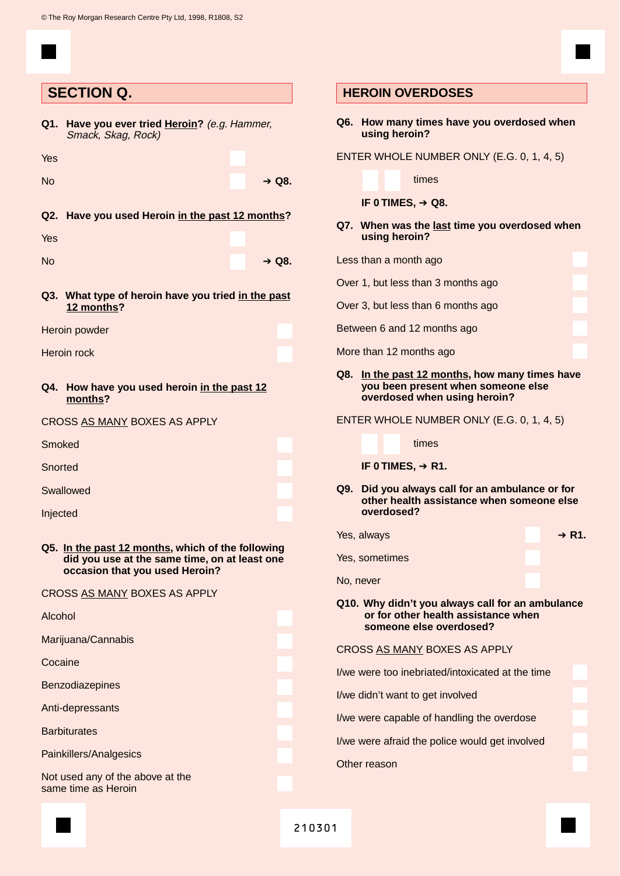|           | <b>SECTION Q.</b>                                                                                                                    |  |
|-----------|--------------------------------------------------------------------------------------------------------------------------------------|--|
| Q1.       | Have you ever tried Heroin? (e.g. Hammer,<br>Smack, Skag, Rock)                                                                      |  |
| Yes       |                                                                                                                                      |  |
| <b>No</b> | $\rightarrow$ Q8.                                                                                                                    |  |
|           | Q2. Have you used Heroin in the past 12 months?                                                                                      |  |
| Yes       |                                                                                                                                      |  |
| <b>No</b> | $\rightarrow$ Q8.                                                                                                                    |  |
|           | Q3. What type of heroin have you tried in the past<br>12 months?                                                                     |  |
|           | Heroin powder                                                                                                                        |  |
|           | Heroin rock                                                                                                                          |  |
| Q4.       | How have you used heroin in the past 12<br>months?                                                                                   |  |
|           | CROSS AS MANY BOXES AS APPLY                                                                                                         |  |
| Smoked    |                                                                                                                                      |  |
| Snorted   |                                                                                                                                      |  |
|           | Swallowed                                                                                                                            |  |
| Injected  |                                                                                                                                      |  |
|           | Q5. In the past 12 months, which of the following<br>did you use at the same time, on at least one<br>occasion that you used Heroin? |  |
|           | CROSS AS MANY BOXES AS APPLY                                                                                                         |  |
| Alcohol   |                                                                                                                                      |  |
|           | Marijuana/Cannabis                                                                                                                   |  |
| Cocaine   |                                                                                                                                      |  |
|           | <b>Benzodiazepines</b>                                                                                                               |  |
|           | Anti-depressants                                                                                                                     |  |

**Barbiturates** 

Painkillers/Analgesics

Not used any of the above at the same time as Heroin

#### **HEROIN OVERDOSES**

**Q6. How many times have you overdosed when using heroin?**

ENTER WHOLE NUMBER ONLY (E.G. 0, 1, 4, 5)

#### times

**IF 0 TIMES,** ➔ **Q8.**

#### **Q7. When was the last time you overdosed when using heroin?**

Less than a month ago

Over 1, but less than 3 months ago

Over 3, but less than 6 months ago

Between 6 and 12 months ago

More than 12 months ago

#### **Q8. In the past 12 months, how many times have you been present when someone else overdosed when using heroin?**

ENTER WHOLE NUMBER ONLY (E.G. 0, 1, 4, 5)

times

#### **IF 0 TIMES,** ➔ **R1.**

**Q9. Did you always call for an ambulance or for other health assistance when someone else overdosed?**

| Yes, always                                     | $\rightarrow$ R1. |
|-------------------------------------------------|-------------------|
| Yes, sometimes                                  |                   |
| No, never                                       |                   |
| 010 Why didn't you always call for an ambulance |                   |

#### **Q10. Why didn't you always call for an ambulance or for other health assistance when someone else overdosed?**

#### CROSS AS MANY BOXES AS APPLY

I/we were too inebriated/intoxicated at the time

I/we didn't want to get involved

I/we were capable of handling the overdose

I/we were afraid the police would get involved

Other reason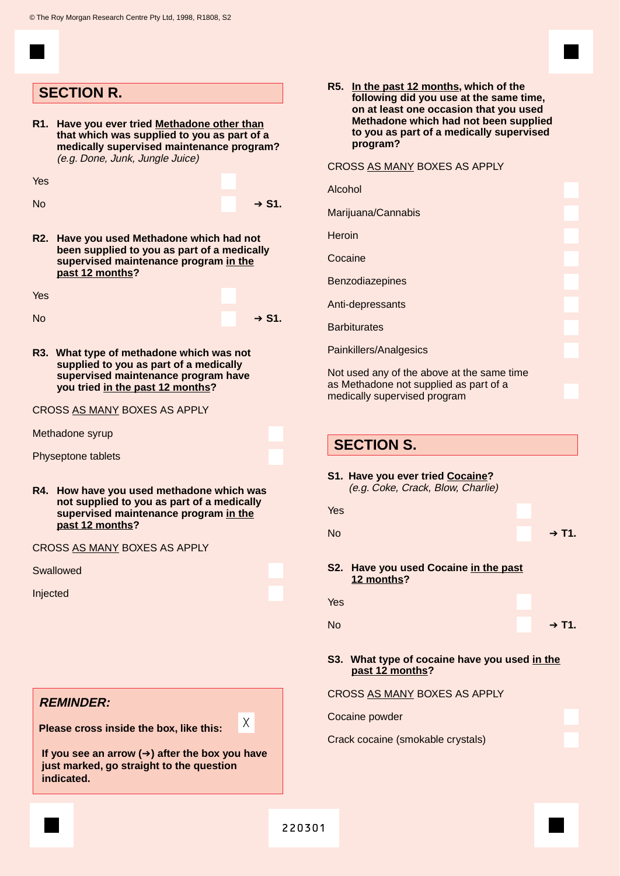|           | <b>SECTION R.</b>                                                                                                                                                       |                   |
|-----------|-------------------------------------------------------------------------------------------------------------------------------------------------------------------------|-------------------|
| R1.       | Have you ever tried Methadone other than<br>that which was supplied to you as part of a<br>medically supervised maintenance program?<br>(e.g. Done, Junk, Jungle Juice) |                   |
| Yes       |                                                                                                                                                                         |                   |
| <b>No</b> |                                                                                                                                                                         | → S1.             |
| R2.       | Have you used Methadone which had not<br>been supplied to you as part of a medically<br>supervised maintenance program in the<br>past 12 months?                        |                   |
| Yes       |                                                                                                                                                                         |                   |
| Nο        |                                                                                                                                                                         | $\rightarrow$ S1. |
|           | R3. What type of methadone which was not<br>supplied to you as part of a medically<br>supervised maintenance program have<br>you tried in the past 12 months?           |                   |
|           | CROSS AS MANY BOXES AS APPLY                                                                                                                                            |                   |
|           | Methadone syrup                                                                                                                                                         |                   |
|           | Physeptone tablets                                                                                                                                                      |                   |
| R4.       | How have you used methadone which was<br>not supplied to you as part of a medically<br>supervised maintenance program in the<br>past 12 months?                         |                   |
|           | CROSS AS MANY BOXES AS APPLY                                                                                                                                            |                   |
|           | Swallowed                                                                                                                                                               |                   |
| Injected  |                                                                                                                                                                         |                   |
|           |                                                                                                                                                                         |                   |
|           |                                                                                                                                                                         |                   |
|           |                                                                                                                                                                         |                   |
|           | <b>REMINDER:</b>                                                                                                                                                        |                   |
|           |                                                                                                                                                                         | X                 |
|           | Please cross inside the box, like this:                                                                                                                                 |                   |

**indicated.**

**R5. In the past 12 months, which of the following did you use at the same time, on at least one occasion that you used Methadone which had not been supplied to you as part of a medically supervised program?**

CROSS AS MANY BOXES AS APPLY

| Alcohol                                    |  |
|--------------------------------------------|--|
| Marijuana/Cannabis                         |  |
| Heroin                                     |  |
| Cocaine                                    |  |
| <b>Benzodiazepines</b>                     |  |
| Anti-depressants                           |  |
| <b>Barbiturates</b>                        |  |
|                                            |  |
| Not used any of the above at the same time |  |
| Painkillers/Analgesics                     |  |

as Methadone not supplied as part of a medically supervised program

|  | <b>SECTION S.</b> |  |
|--|-------------------|--|
|  |                   |  |

|           | S1. Have you ever tried Cocaine?<br>(e.g. Coke, Crack, Blow, Charlie) |         |
|-----------|-----------------------------------------------------------------------|---------|
| Yes       |                                                                       |         |
| <b>No</b> |                                                                       | $+$ T1. |
|           | S2. Have you used Cocaine in the past<br>12 months?                   |         |
| Yes       |                                                                       |         |
| No        |                                                                       | $+$ T1. |
|           |                                                                       |         |

### **S3. What type of cocaine have you used in the past 12 months?**

| CROSS AS MANY BOXES AS APPLY |
|------------------------------|
|                              |

Cocaine powder Crack cocaine (smokable crystals)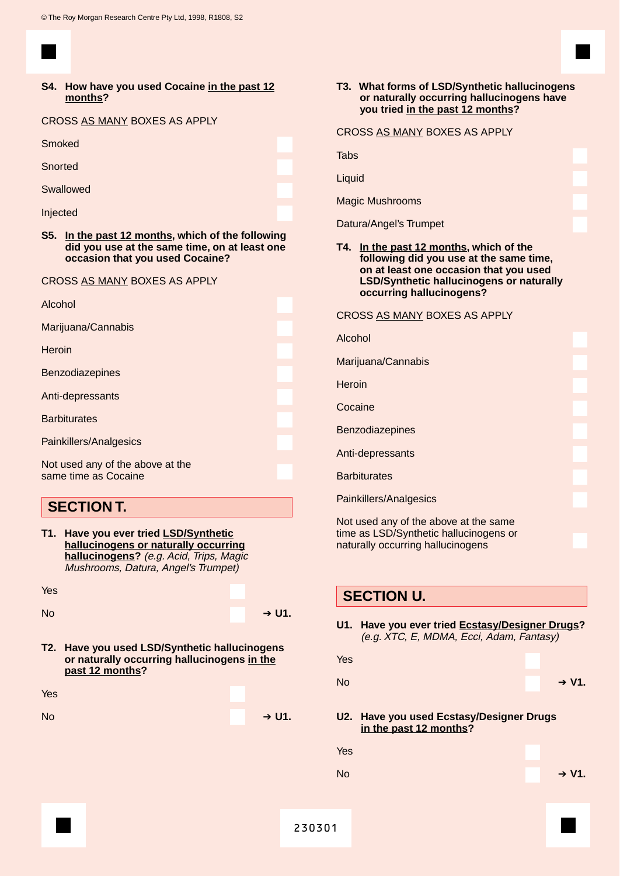#### **S4. How have you used Cocaine in the past 12 months?**

CROSS AS MANY BOXES AS APPLY

**Smoked** 

**Snorted** 

Swallowed

Injected

**S5. In the past 12 months, which of the following did you use at the same time, on at least one occasion that you used Cocaine?**

CROSS AS MANY BOXES AS APPLY

| Alcohol                                                  |  |
|----------------------------------------------------------|--|
| Marijuana/Cannabis                                       |  |
| <b>Heroin</b>                                            |  |
| Benzodiazepines                                          |  |
| Anti-depressants                                         |  |
| <b>Barbiturates</b>                                      |  |
| Painkillers/Analgesics                                   |  |
| Not used any of the above at the<br>same time as Cocaine |  |

## **SECTION T.**

| T1. Have you ever tried LSD/Synthetic   |  |
|-----------------------------------------|--|
| hallucinogens or naturally occurring    |  |
| hallucinogens? (e.g. Acid, Trips, Magic |  |
| Mushrooms, Datura, Angel's Trumpet)     |  |

Yes

| No | $+ U1.$ |
|----|---------|
|    |         |

**T2. Have you used LSD/Synthetic hallucinogens or naturally occurring hallucinogens in the past 12 months?**

| Yes       |         |
|-----------|---------|
| <b>No</b> | $+ U1.$ |

#### **T3. What forms of LSD/Synthetic hallucinogens or naturally occurring hallucinogens have you tried in the past 12 months?**

## CROSS AS MANY BOXES AS APPLY

Tabs

Liquid

Magic Mushrooms

Datura/Angel's Trumpet

#### **T4. In the past 12 months, which of the following did you use at the same time, on at least one occasion that you used LSD/Synthetic hallucinogens or naturally occurring hallucinogens?**

CROSS AS MANY BOXES AS APPLY

Alcohol

Marijuana/Cannabis

**Heroin** 

Cocaine

Benzodiazepines

Anti-depressants

**Barbiturates** 

Painkillers/Analgesics

Not used any of the above at the same time as LSD/Synthetic hallucinogens or naturally occurring hallucinogens

## **SECTION U.**

**U1. Have you ever tried Ecstasy/Designer Drugs?** (e.g. XTC, E, MDMA, Ecci, Adam, Fantasy)

| Yes       |                                                                    |          |
|-----------|--------------------------------------------------------------------|----------|
| <b>No</b> |                                                                    | $+ V1$ . |
|           | U2. Have you used Ecstasy/Designer Drugs<br>in the past 12 months? |          |
| Yes       |                                                                    |          |
| <b>No</b> |                                                                    | $+ V1$ . |
|           |                                                                    |          |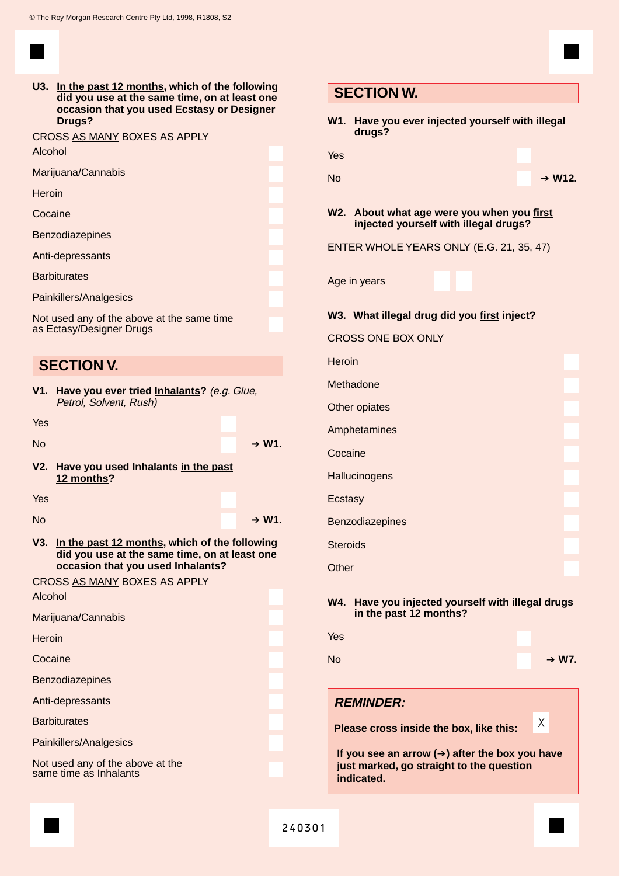

**U3. In the past 12 months, which of the following did you use at the same time, on at least one occasion that you used Ecstasy or Designer Drugs?**

|         | CROSS AS MANY BOXES AS APPLY |
|---------|------------------------------|
| Alcohol |                              |

| , ,,,,,,,,,            |  |
|------------------------|--|
| Marijuana/Cannabis     |  |
| Heroin                 |  |
| Cocaine                |  |
| <b>Benzodiazepines</b> |  |
| Anti-depressants       |  |
| <b>Barbiturates</b>    |  |
| Painkillers/Analgesics |  |

Not used any of the above at the same time as Ectasy/Designer Drugs

## **SECTION V.**

**V1. Have you ever tried Inhalants?** (e.g. Glue, Petrol, Solvent, Rush)

Yes

| <b>No</b> | $+ W1$ . |
|-----------|----------|
|           |          |

**V2. Have you used Inhalants in the past 12 months?**

Yes

| Nc |  |
|----|--|
|----|--|

**V3. In the past 12 months, which of the following did you use at the same time, on at least one occasion that you used Inhalants?**

#### CROSS AS MANY BOXES AS APPLY

Alcohol

Marijuana/Cannabis

**Heroin** 

**Cocaine** 

Benzodiazepines

Anti-depressants

**Barbiturates** 

Painkillers/Analgesics

Not used any of the above at the same time as Inhalants

| <b>SECTION W.</b>                                                                   |
|-------------------------------------------------------------------------------------|
| Have you ever injected yourself with illegal<br>W1.<br>drugs?                       |
| Yes                                                                                 |
| <b>No</b><br>$+ W12.$                                                               |
| W2. About what age were you when you first<br>injected yourself with illegal drugs? |
| ENTER WHOLE YEARS ONLY (E.G. 21, 35, 47)                                            |
| Age in years                                                                        |
| W3. What illegal drug did you first inject?                                         |
| <b>CROSS ONE BOX ONLY</b>                                                           |
| Heroin                                                                              |
| Methadone                                                                           |
| Other opiates                                                                       |
| Amphetamines                                                                        |
| Cocaine                                                                             |
| Hallucinogens                                                                       |
| Ecstasy                                                                             |
| <b>Benzodiazepines</b>                                                              |
| <b>Steroids</b>                                                                     |
| Other                                                                               |
| Have you injected yourself with illegal drugs<br>W4.<br>in the past 12 months?      |
| Yes                                                                                 |
| <b>No</b><br>$+ W7$ .                                                               |

## **REMINDER:**

**Please cross inside the box, like this:**

**If you see an arrow (**➔**) after the box you have just marked, go straight to the question indicated.**

240301

 $+ W1$ .

X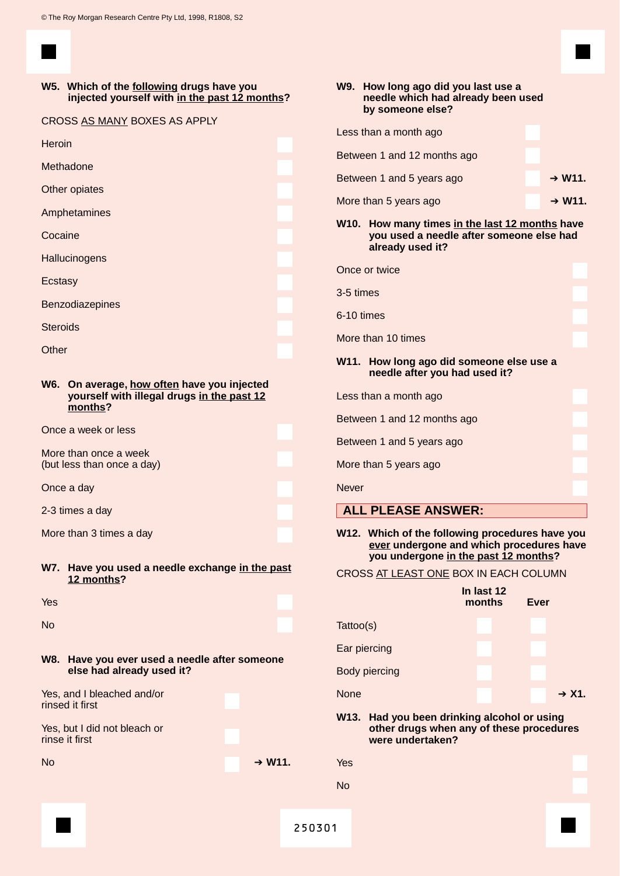#### **W5. Which of the following drugs have you injected yourself with in the past 12 months?**

|  | CROSS AS MANY BOXES AS APPLY |  |  |
|--|------------------------------|--|--|
|--|------------------------------|--|--|

| <b>Heroin</b>   |  |
|-----------------|--|
| Methadone       |  |
| Other opiates   |  |
| Amphetamines    |  |
| Cocaine         |  |
| Hallucinogens   |  |
| Ecstasy         |  |
| Benzodiazepines |  |
| <b>Steroids</b> |  |
|                 |  |

**Other** 

#### **W6. On average, how often have you injected yourself with illegal drugs in the past 12 months?**

Once a week or less

More than once a week (but less than once a day)

Once a day

2-3 times a day

More than 3 times a day

**W7. Have you used a needle exchange in the past 12 months?**

Yes

No

**W8. Have you ever used a needle after someone else had already used it?**

Yes, and I bleached and/or rinsed it first

Yes, but I did not bleach or rinse it first

No **→ W11.** 

|                             | W9. How long ago did you last use a<br>needle which had already been used<br>by someone else?                  |  |  |  |  |  |  |
|-----------------------------|----------------------------------------------------------------------------------------------------------------|--|--|--|--|--|--|
|                             | Less than a month ago                                                                                          |  |  |  |  |  |  |
| Between 1 and 12 months ago |                                                                                                                |  |  |  |  |  |  |
| Between 1 and 5 years ago   | $+ W11.$                                                                                                       |  |  |  |  |  |  |
| More than 5 years ago       | $+ W11.$                                                                                                       |  |  |  |  |  |  |
|                             | W10. How many times in the last 12 months have<br>you used a needle after someone else had<br>already used it? |  |  |  |  |  |  |

Once or twice

3-5 times

6-10 times

More than 10 times

#### **W11. How long ago did someone else use a needle after you had used it?**

Less than a month ago

Between 1 and 12 months ago

Between 1 and 5 years ago

More than 5 years ago

**Never** 

- **ALL PLEASE ANSWER:**
- **W12. Which of the following procedures have you ever undergone and which procedures have you undergone in the past 12 months?**
- CROSS AT LEAST ONE BOX IN EACH COLUMN

|                      | In last 12<br>months | <b>Ever</b> |  |  |
|----------------------|----------------------|-------------|--|--|
| Tattoo(s)            |                      |             |  |  |
| Ear piercing         |                      |             |  |  |
| <b>Body piercing</b> |                      |             |  |  |
| None                 |                      | $+ X1$ .    |  |  |

**W13. Had you been drinking alcohol or using other drugs when any of these procedures were undertaken?**

| Yes       |  |  |  |
|-----------|--|--|--|
| <b>No</b> |  |  |  |
|           |  |  |  |
| 250301    |  |  |  |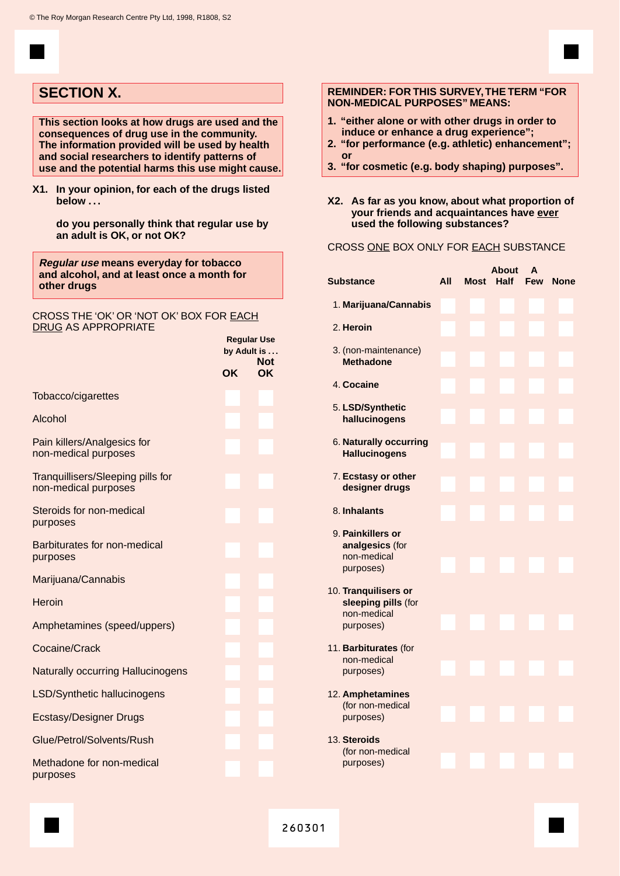## **SECTION X.**

**This section looks at how drugs are used and the consequences of drug use in the community. The information provided will be used by health and social researchers to identify patterns of use and the potential harms this use might cause.**

**X1. In your opinion, for each of the drugs listed below . . .**

**do you personally think that regular use by an adult is OK, or not OK?**

**Regular use means everyday for tobacco and alcohol, and at least once a month for other drugs**

#### CROSS THE 'OK' OR 'NOT OK' BOX FOR EACH DRUG AS APPROPRIATE

|                                                           |           | <b>Regular Use</b><br>by Adult is |
|-----------------------------------------------------------|-----------|-----------------------------------|
|                                                           |           | <b>Not</b>                        |
|                                                           | <b>OK</b> | <b>OK</b>                         |
| Tobacco/cigarettes                                        |           |                                   |
| Alcohol                                                   |           |                                   |
| Pain killers/Analgesics for<br>non-medical purposes       |           |                                   |
| Tranquillisers/Sleeping pills for<br>non-medical purposes |           |                                   |
| Steroids for non-medical<br>purposes                      |           |                                   |
| Barbiturates for non-medical<br>purposes                  |           |                                   |
| Marijuana/Cannabis                                        |           |                                   |
| Heroin                                                    |           |                                   |
| Amphetamines (speed/uppers)                               |           |                                   |
| Cocaine/Crack                                             |           |                                   |
| <b>Naturally occurring Hallucinogens</b>                  |           |                                   |
| LSD/Synthetic hallucinogens                               |           |                                   |
| <b>Ecstasy/Designer Drugs</b>                             |           |                                   |
| Glue/Petrol/Solvents/Rush                                 |           |                                   |
| Methadone for non-medical<br>purposes                     |           |                                   |

#### **REMINDER: FOR THIS SURVEY,THE TERM "FOR NON-MEDICAL PURPOSES" MEANS:**

- **1. "either alone or with other drugs in order to induce or enhance a drug experience";**
- **2. "for performance (e.g. athletic) enhancement"; or**
- **3. "for cosmetic (e.g. body shaping) purposes".**
- **X2. As far as you know, about what proportion of your friends and acquaintances have ever used the following substances?**

#### CROSS ONE BOX ONLY FOR EACH SUBSTANCE

|                                                                         |     |             | <b>About</b> | A          |             |
|-------------------------------------------------------------------------|-----|-------------|--------------|------------|-------------|
| <b>Substance</b>                                                        | All | <b>Most</b> | <b>Half</b>  | <b>Few</b> | <b>None</b> |
| 1. Marijuana/Cannabis                                                   |     |             |              |            |             |
| 2. Heroin                                                               |     |             |              |            |             |
| 3. (non-maintenance)<br><b>Methadone</b>                                |     |             |              |            |             |
| 4. Cocaine                                                              |     |             |              |            |             |
| 5. LSD/Synthetic<br>hallucinogens                                       |     |             |              |            |             |
| 6. Naturally occurring<br><b>Hallucinogens</b>                          |     |             |              |            |             |
| 7. Ecstasy or other<br>designer drugs                                   |     |             |              |            |             |
| 8. Inhalants                                                            |     |             |              |            |             |
| 9. Painkillers or<br>analgesics (for<br>non-medical<br>purposes)        |     |             |              |            |             |
| 10. Tranquilisers or<br>sleeping pills (for<br>non-medical<br>purposes) |     |             |              |            |             |
| 11. Barbiturates (for<br>non-medical<br>purposes)                       |     |             |              |            |             |
| 12. Amphetamines<br>(for non-medical<br>purposes)                       |     |             |              |            |             |
| 13. Steroids<br>(for non-medical<br>purposes)                           |     |             |              |            |             |
|                                                                         |     |             |              |            |             |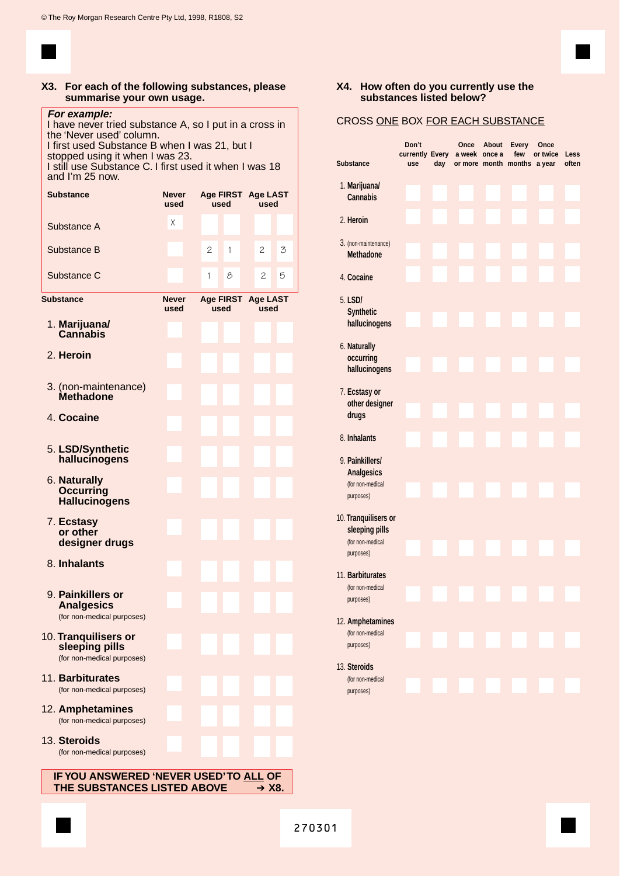#### **X3. For each of the following substances, please summarise your own usage.**

#### **For example:**

I have never tried substance A, so I put in a cross in the 'Never used' column. I first used Substance B when I was 21, but I

stopped using it when I was 23. I still use Substance C. I first used it when I was 18 and I'm 25 now.

| <b>Substance</b>                                                     | <b>Never</b><br>used | used                     | Age FIRST Age LAST<br>used |
|----------------------------------------------------------------------|----------------------|--------------------------|----------------------------|
| Substance A                                                          | Χ                    |                          |                            |
| Substance B                                                          |                      | 2<br>1                   | 2<br>3                     |
| Substance C                                                          |                      | 8<br>1                   | 2<br>5                     |
| Substance                                                            | <b>Never</b><br>used | <b>Age FIRST</b><br>used | <b>Age LAST</b><br>used    |
| 1. Marijuana/<br><b>Cannabis</b>                                     |                      |                          |                            |
| 2. Heroin                                                            |                      |                          |                            |
| 3. (non-maintenance)<br><b>Methadone</b>                             |                      |                          |                            |
| 4. Cocaine                                                           |                      |                          |                            |
| 5. LSD/Synthetic<br>hallucinogens                                    |                      |                          |                            |
| 6. Naturally<br><b>Occurring</b><br><b>Hallucinogens</b>             |                      |                          |                            |
| 7. Ecstasy<br>or other<br>designer drugs                             |                      |                          |                            |
| 8. Inhalants                                                         |                      |                          |                            |
| 9. Painkillers or<br><b>Analgesics</b><br>(for non-medical purposes) |                      |                          |                            |
| 10. Tranquilisers or<br>sleeping pills<br>(for non-medical purposes) |                      |                          |                            |
| 11. Barbiturates<br>(for non-medical purposes)                       |                      |                          |                            |
| 12. Amphetamines<br>(for non-medical purposes)                       |                      |                          |                            |
| 13. Steroids<br>(for non-medical purposes)                           |                      |                          |                            |
| IF YOU ANSWERED 'NEVER USED'TO ALL OF<br>THE SUBSTANCES LISTED ABOVE |                      |                          | $+ X8.$                    |

#### **X4. How often do you currently use the substances listed below?**

### CROSS ONE BOX FOR EACH SUBSTANCE

| <b>Substance</b>                                                      | Don't<br>currently Every<br>use | day | Once<br>a week once a | About | <b>Every</b><br>few<br>or more month months | Once<br>or twice<br>a year | Less<br>often |
|-----------------------------------------------------------------------|---------------------------------|-----|-----------------------|-------|---------------------------------------------|----------------------------|---------------|
| 1. Marijuana/<br><b>Cannabis</b>                                      |                                 |     |                       |       |                                             |                            |               |
| 2. Heroin                                                             |                                 |     |                       |       |                                             |                            |               |
| 3. (non-maintenance)<br><b>Methadone</b>                              |                                 |     |                       |       |                                             |                            |               |
| 4. Cocaine                                                            |                                 |     |                       |       |                                             |                            |               |
| 5. LSD/<br><b>Synthetic</b><br>hallucinogens                          |                                 |     |                       |       |                                             |                            |               |
| 6. Naturally<br>occurring<br>hallucinogens                            |                                 |     |                       |       |                                             |                            |               |
| 7. Ecstasy or<br>other designer<br>drugs                              |                                 |     |                       |       |                                             |                            |               |
| 8. Inhalants                                                          |                                 |     |                       |       |                                             |                            |               |
| 9. Painkillers/<br><b>Analgesics</b><br>(for non-medical<br>purposes) |                                 |     |                       |       |                                             |                            |               |
| 10. Tranquilisers or<br>sleeping pills<br>(for non-medical            |                                 |     |                       |       |                                             |                            |               |
| purposes)                                                             |                                 |     |                       |       |                                             |                            |               |
| 11. Barbiturates<br>(for non-medical<br>purposes)                     |                                 |     |                       |       |                                             |                            |               |
| 12. Amphetamines                                                      |                                 |     |                       |       |                                             |                            |               |
| (for non-medical<br>purposes)                                         |                                 |     |                       |       |                                             |                            |               |
| 13. Steroids<br>(for non-medical<br>purposes)                         |                                 |     |                       |       |                                             |                            |               |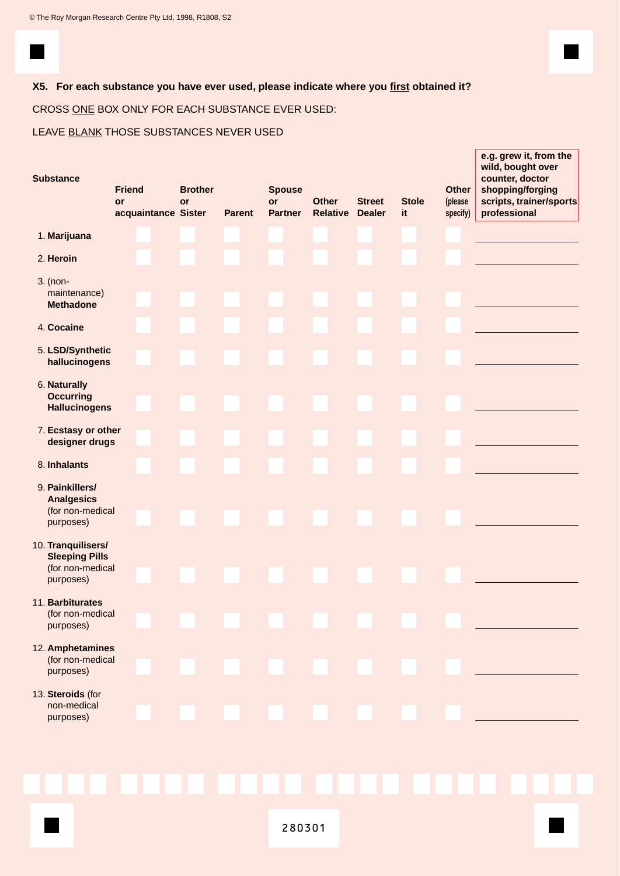### **X5. For each substance you have ever used, please indicate where you first obtained it?**

CROSS ONE BOX ONLY FOR EACH SUBSTANCE EVER USED:

LEAVE BLANK THOSE SUBSTANCES NEVER USED

| <b>Substance</b>                                                             | <b>Friend</b><br>or<br>acquaintance Sister | <b>Brother</b><br>or | <b>Parent</b> | <b>Spouse</b><br>or<br><b>Partner</b> | <b>Other</b><br><b>Relative Dealer</b> | <b>Street</b> | <b>Stole</b><br>it | <b>Other</b><br>(please<br>specify) | e.g. grew it, from the<br>wild, bought over<br>counter, doctor<br>shopping/forging<br>scripts, trainer/sports<br>professional |
|------------------------------------------------------------------------------|--------------------------------------------|----------------------|---------------|---------------------------------------|----------------------------------------|---------------|--------------------|-------------------------------------|-------------------------------------------------------------------------------------------------------------------------------|
| 1. Marijuana                                                                 |                                            |                      |               |                                       |                                        |               |                    |                                     |                                                                                                                               |
| 2. Heroin                                                                    |                                            |                      |               |                                       |                                        |               |                    |                                     |                                                                                                                               |
| 3. (non-<br>maintenance)<br><b>Methadone</b>                                 |                                            |                      |               |                                       |                                        |               |                    |                                     |                                                                                                                               |
| 4. Cocaine                                                                   |                                            |                      |               |                                       |                                        |               |                    |                                     |                                                                                                                               |
| 5. LSD/Synthetic<br>hallucinogens                                            |                                            |                      |               |                                       |                                        |               |                    |                                     |                                                                                                                               |
| 6. Naturally<br><b>Occurring</b><br><b>Hallucinogens</b>                     |                                            |                      |               |                                       |                                        |               |                    |                                     |                                                                                                                               |
| 7. Ecstasy or other<br>designer drugs                                        |                                            |                      |               |                                       |                                        |               |                    |                                     |                                                                                                                               |
| 8. Inhalants                                                                 |                                            |                      |               |                                       |                                        |               |                    |                                     |                                                                                                                               |
| 9. Painkillers/<br><b>Analgesics</b><br>(for non-medical<br>purposes)        |                                            |                      |               |                                       |                                        |               |                    |                                     |                                                                                                                               |
| 10. Tranquilisers/<br><b>Sleeping Pills</b><br>(for non-medical<br>purposes) |                                            |                      |               |                                       |                                        |               |                    |                                     |                                                                                                                               |
| 11. Barbiturates<br>(for non-medical<br>purposes)                            |                                            |                      |               |                                       |                                        |               |                    |                                     |                                                                                                                               |
| 12. Amphetamines<br>(for non-medical<br>purposes)                            |                                            |                      |               |                                       |                                        |               |                    |                                     |                                                                                                                               |
| 13. Steroids (for<br>non-medical<br>purposes)                                |                                            |                      |               |                                       |                                        |               |                    |                                     |                                                                                                                               |
|                                                                              |                                            |                      |               |                                       |                                        |               |                    |                                     |                                                                                                                               |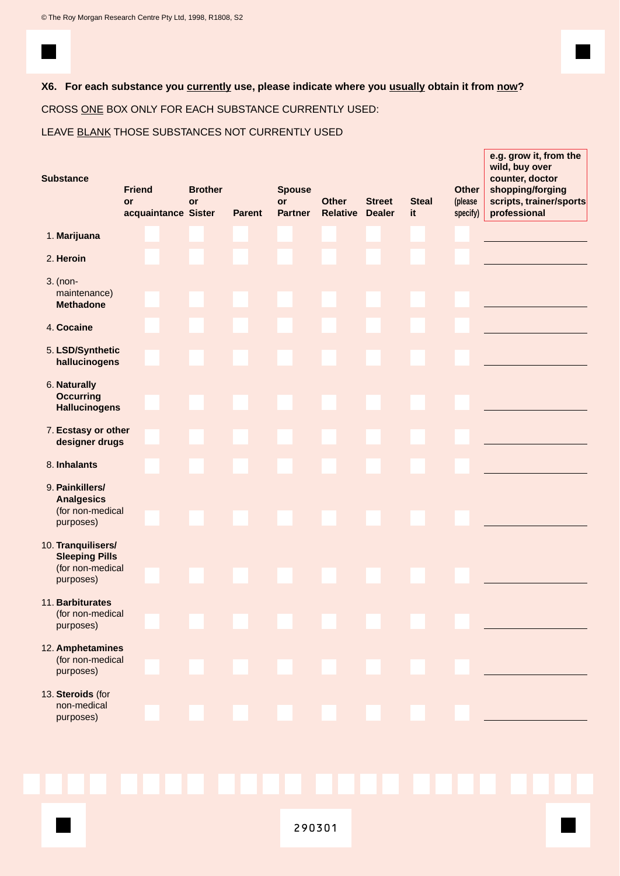### **X6. For each substance you currently use, please indicate where you usually obtain it from now?**

CROSS ONE BOX ONLY FOR EACH SUBSTANCE CURRENTLY USED:

### LEAVE BLANK THOSE SUBSTANCES NOT CURRENTLY USED

| <b>Substance</b>                                                             | <b>Friend</b><br>or<br>acquaintance Sister | <b>Brother</b><br>or | <b>Parent</b> | <b>Spouse</b><br>or<br><b>Partner</b> | <b>Other</b><br>Relative | <b>Street</b><br><b>Dealer</b> | <b>Steal</b><br>it | <b>Other</b><br>(please<br>specify) | e.g. grow it, from the<br>wild, buy over<br>counter, doctor<br>shopping/forging<br>scripts, trainer/sports<br>professional |
|------------------------------------------------------------------------------|--------------------------------------------|----------------------|---------------|---------------------------------------|--------------------------|--------------------------------|--------------------|-------------------------------------|----------------------------------------------------------------------------------------------------------------------------|
| 1. Marijuana                                                                 |                                            |                      |               |                                       |                          |                                |                    |                                     |                                                                                                                            |
| 2. Heroin                                                                    |                                            |                      |               |                                       |                          |                                |                    |                                     |                                                                                                                            |
| 3. (non-<br>maintenance)<br><b>Methadone</b>                                 |                                            |                      |               |                                       |                          |                                |                    |                                     |                                                                                                                            |
| 4. Cocaine                                                                   |                                            |                      |               |                                       |                          |                                |                    |                                     |                                                                                                                            |
| 5. LSD/Synthetic<br>hallucinogens                                            |                                            |                      |               |                                       |                          |                                |                    |                                     |                                                                                                                            |
| 6. Naturally<br><b>Occurring</b><br><b>Hallucinogens</b>                     |                                            |                      |               |                                       |                          |                                |                    |                                     |                                                                                                                            |
| 7. Ecstasy or other<br>designer drugs                                        |                                            |                      |               |                                       |                          |                                |                    |                                     |                                                                                                                            |
| 8. Inhalants                                                                 |                                            |                      |               |                                       |                          |                                |                    |                                     |                                                                                                                            |
| 9. Painkillers/<br><b>Analgesics</b><br>(for non-medical<br>purposes)        |                                            |                      |               |                                       |                          |                                |                    |                                     |                                                                                                                            |
| 10. Tranquilisers/<br><b>Sleeping Pills</b><br>(for non-medical<br>purposes) |                                            |                      |               |                                       |                          |                                |                    |                                     |                                                                                                                            |
| 11. Barbiturates<br>(for non-medical<br>purposes)                            |                                            |                      |               |                                       |                          |                                |                    |                                     |                                                                                                                            |
| 12. Amphetamines<br>(for non-medical<br>purposes)                            |                                            |                      |               |                                       |                          |                                |                    |                                     |                                                                                                                            |
| 13. Steroids (for<br>non-medical<br>purposes)                                |                                            |                      |               |                                       |                          |                                |                    |                                     |                                                                                                                            |
|                                                                              |                                            |                      |               |                                       |                          |                                |                    |                                     |                                                                                                                            |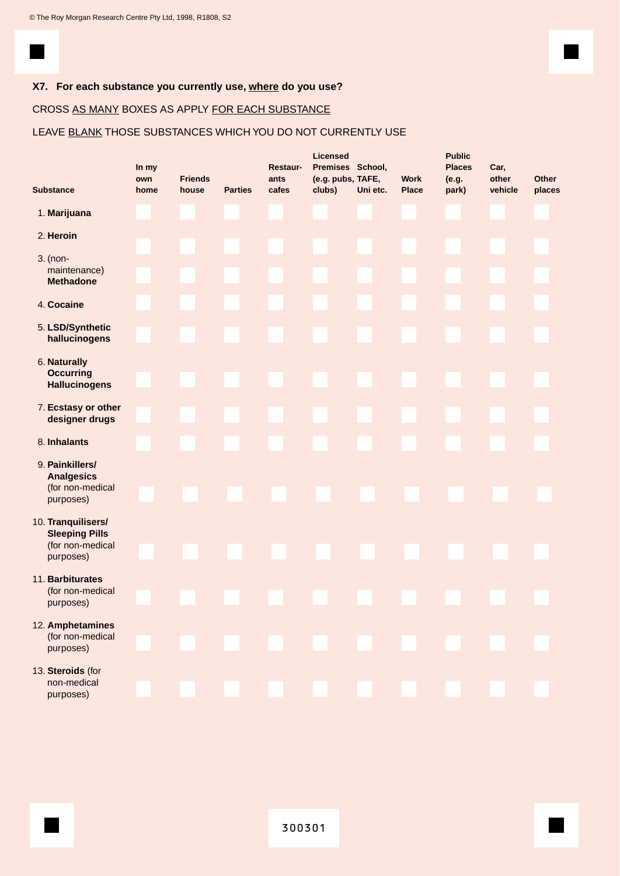

### **X7. For each substance you currently use, where do you use?**

### CROSS AS MANY BOXES AS APPLY FOR EACH SUBSTANCE

### LEAVE BLANK THOSE SUBSTANCES WHICH YOU DO NOT CURRENTLY USE

|                                                                              | In my<br>own | <b>Friends</b> |                | Restaur-<br>ants | <b>Licensed</b><br>Premises School,<br>(e.g. pubs, TAFE, |          | <b>Work</b>  | <b>Public</b><br><b>Places</b><br>(e.g. | Car,<br>other | Other  |
|------------------------------------------------------------------------------|--------------|----------------|----------------|------------------|----------------------------------------------------------|----------|--------------|-----------------------------------------|---------------|--------|
| <b>Substance</b>                                                             | home         | house          | <b>Parties</b> | cafes            | clubs)                                                   | Uni etc. | <b>Place</b> | park)                                   | vehicle       | places |
| 1. Marijuana                                                                 |              |                |                |                  |                                                          |          |              |                                         |               |        |
| 2. Heroin                                                                    |              |                |                |                  |                                                          |          |              |                                         |               |        |
| 3. (non-<br>maintenance)<br><b>Methadone</b>                                 |              |                |                |                  |                                                          |          |              |                                         |               |        |
| 4. Cocaine                                                                   |              |                |                |                  |                                                          |          |              |                                         |               |        |
| 5. LSD/Synthetic<br>hallucinogens                                            |              |                |                |                  |                                                          |          |              |                                         |               |        |
| 6. Naturally<br><b>Occurring</b><br><b>Hallucinogens</b>                     |              |                |                |                  |                                                          |          |              |                                         |               |        |
| 7. Ecstasy or other<br>designer drugs                                        |              |                |                |                  |                                                          |          |              |                                         |               |        |
| 8. Inhalants                                                                 |              |                |                |                  |                                                          |          |              |                                         |               |        |
| 9. Painkillers/<br><b>Analgesics</b><br>(for non-medical<br>purposes)        |              |                |                |                  |                                                          |          |              |                                         |               |        |
| 10. Tranquilisers/<br><b>Sleeping Pills</b><br>(for non-medical<br>purposes) |              |                |                |                  |                                                          |          |              |                                         |               |        |
| 11. Barbiturates<br>(for non-medical<br>purposes)                            |              |                |                |                  |                                                          |          |              |                                         |               |        |
| 12. Amphetamines<br>(for non-medical<br>purposes)                            |              |                |                |                  |                                                          |          |              |                                         |               |        |
| 13. Steroids (for<br>non-medical<br>purposes)                                |              |                |                |                  |                                                          |          |              |                                         |               |        |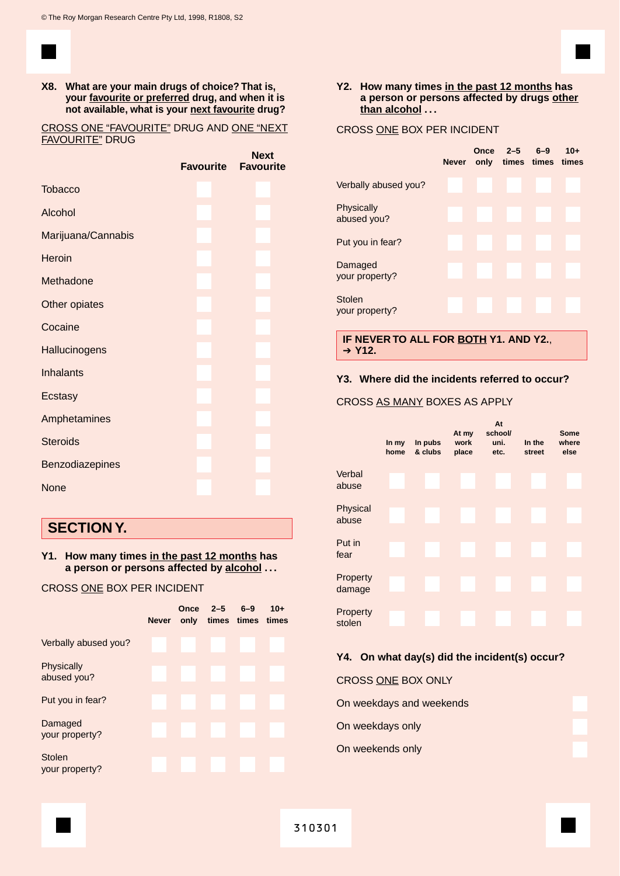**X8. What are your main drugs of choice? That is, your favourite or preferred drug, and when it is not available, what is your next favourite drug?**

CROSS ONE "FAVOURITE" DRUG AND ONE "NEXT FAVOURITE" DRUG

**Next**

|                    | <b>Favourite</b> | <b>IACVE</b><br><b>Favourite</b> |
|--------------------|------------------|----------------------------------|
| <b>Tobacco</b>     |                  |                                  |
| Alcohol            |                  |                                  |
| Marijuana/Cannabis |                  |                                  |
| Heroin             |                  |                                  |
| Methadone          |                  |                                  |
| Other opiates      |                  |                                  |
| Cocaine            |                  |                                  |
| Hallucinogens      |                  |                                  |
| <b>Inhalants</b>   |                  |                                  |
| Ecstasy            |                  |                                  |
| Amphetamines       |                  |                                  |
| <b>Steroids</b>    |                  |                                  |
| Benzodiazepines    |                  |                                  |
| None               |                  |                                  |
|                    |                  |                                  |

## **SECTION Y.**

**Y1. How many times in the past 12 months has a person or persons affected by alcohol . . .**

#### CROSS ONE BOX PER INCIDENT

|                                 | <b>Never</b> | Once | $2 - 5$<br>only times times times | $6 - 9$ | $10+$ |
|---------------------------------|--------------|------|-----------------------------------|---------|-------|
| Verbally abused you?            |              |      |                                   |         |       |
| Physically<br>abused you?       |              |      |                                   |         |       |
| Put you in fear?                |              |      |                                   |         |       |
| Damaged<br>your property?       |              |      |                                   |         |       |
| <b>Stolen</b><br>your property? |              |      |                                   |         |       |

#### **Y2. How many times in the past 12 months has a person or persons affected by drugs other than alcohol . . .**

CROSS ONE BOX PER INCIDENT

## **Once 2–5 6–9 10+ Never only times times times** Verbally abused you? **Physically** abused you? Put you in fear? Damaged your property? Stolen your property?

**IF NEVER TO ALL FOR BOTH Y1. AND Y2.**, ➔ **Y12.**

#### **Y3. Where did the incidents referred to occur?**

#### CROSS AS MANY BOXES AS APPLY



### **Y4. On what day(s) did the incident(s) occur?**

CROSS ONE BOX ONLY

On weekdays and weekends

On weekdays only

On weekends only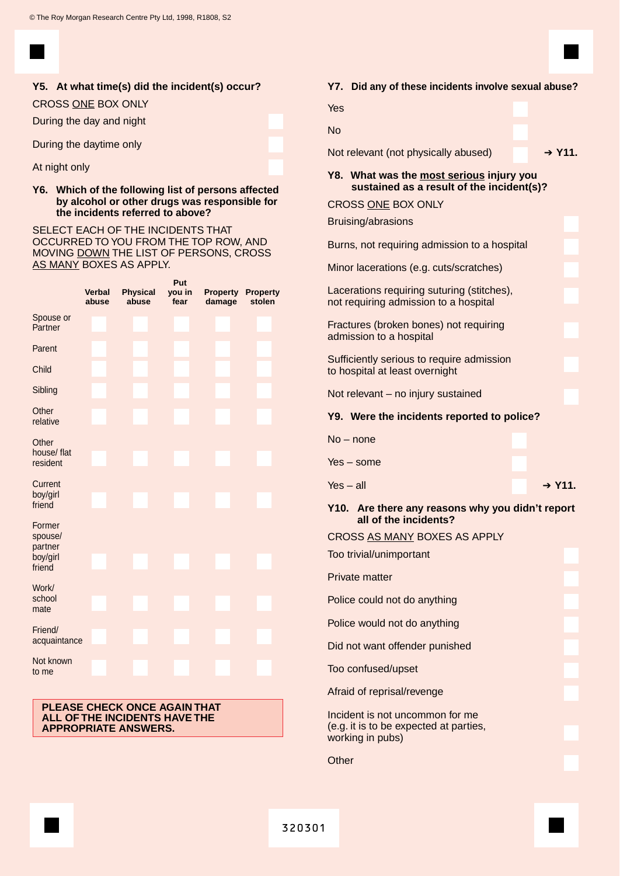

#### **Y5. At what time(s) did the incident(s) occur?**

#### CROSS ONE BOX ONLY

During the day and night

During the daytime only

#### At night only

#### **Y6. Which of the following list of persons affected by alcohol or other drugs was responsible for the incidents referred to above?**

SELECT EACH OF THE INCIDENTS THAT OCCURRED TO YOU FROM THE TOP ROW, AND MOVING DOWN THE LIST OF PERSONS, CROSS AS MANY BOXES AS APPLY.

|                                          | Put                    |                          |                |                           |                           |  |  |
|------------------------------------------|------------------------|--------------------------|----------------|---------------------------|---------------------------|--|--|
|                                          | <b>Verbal</b><br>abuse | <b>Physical</b><br>abuse | you in<br>fear | <b>Property</b><br>damage | <b>Property</b><br>stolen |  |  |
| Spouse or<br>Partner                     |                        |                          |                |                           |                           |  |  |
| Parent                                   |                        |                          |                |                           |                           |  |  |
| Child                                    |                        |                          |                |                           |                           |  |  |
| Sibling                                  |                        |                          |                |                           |                           |  |  |
| Other<br>relative                        |                        |                          |                |                           |                           |  |  |
| Other<br>house/ flat<br>resident         |                        |                          |                |                           |                           |  |  |
| Current<br>boy/girl<br>friend            |                        |                          |                |                           |                           |  |  |
| Former<br>spouse/<br>partner<br>boy/girl |                        |                          |                |                           |                           |  |  |
| friend                                   |                        |                          |                |                           |                           |  |  |
| Work/<br>school<br>mate                  |                        |                          |                |                           |                           |  |  |
| Friend/<br>acquaintance                  |                        |                          |                |                           |                           |  |  |
| Not known<br>to me                       |                        |                          |                |                           |                           |  |  |

#### **PLEASE CHECK ONCE AGAIN THAT ALL OF THE INCIDENTS HAVE THE APPROPRIATE ANSWERS.**

### **Y7. Did any of these incidents involve sexual abuse?**

| <b>Plu any of these incluents involve sexual abuse</b> :                                      |
|-----------------------------------------------------------------------------------------------|
| Yes                                                                                           |
| <b>No</b>                                                                                     |
| $+$ Y <sub>11</sub> .<br>Not relevant (not physically abused)                                 |
| Y8. What was the most serious injury you<br>sustained as a result of the incident(s)?         |
| <b>CROSS ONE BOX ONLY</b>                                                                     |
| Bruising/abrasions                                                                            |
| Burns, not requiring admission to a hospital                                                  |
| Minor lacerations (e.g. cuts/scratches)                                                       |
| Lacerations requiring suturing (stitches),<br>not requiring admission to a hospital           |
| Fractures (broken bones) not requiring<br>admission to a hospital                             |
| Sufficiently serious to require admission<br>to hospital at least overnight                   |
| Not relevant - no injury sustained                                                            |
| Y9. Were the incidents reported to police?                                                    |
| $No$ – none                                                                                   |
| $Yes - some$                                                                                  |
| $Yes - all$<br>$+$ Y <sub>11</sub> .                                                          |
| Y10. Are there any reasons why you didn't report<br>all of the incidents?                     |
| CROSS AS MANY BOXES AS APPLY                                                                  |
| Too trivial/unimportant                                                                       |
| <b>Private matter</b>                                                                         |
|                                                                                               |
| Police could not do anything                                                                  |
| Police would not do anything                                                                  |
| Did not want offender punished                                                                |
| Too confused/upset                                                                            |
| Afraid of reprisal/revenge                                                                    |
| Incident is not uncommon for me<br>(e.g. it is to be expected at parties,<br>working in pubs) |
| Other                                                                                         |
|                                                                                               |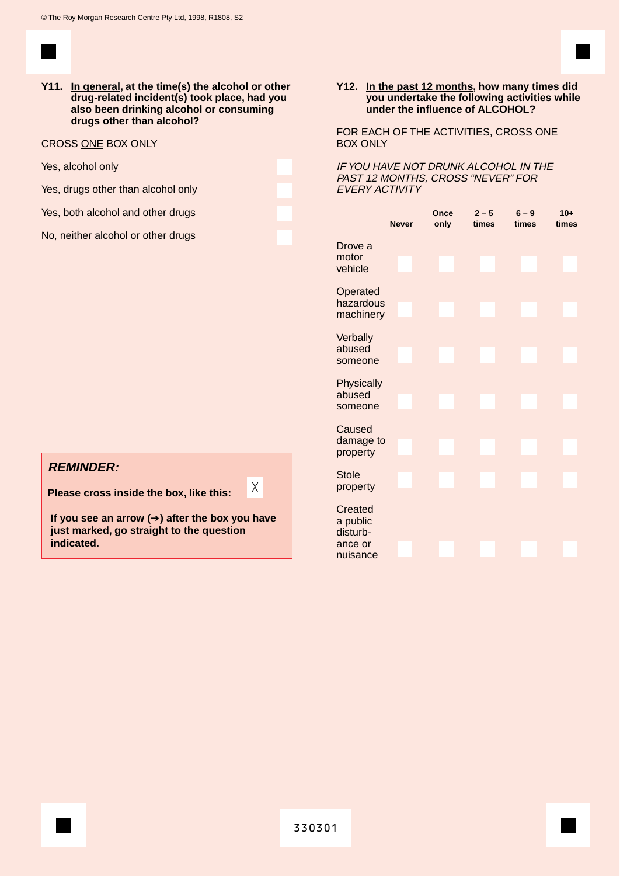**Y11. In general, at the time(s) the alcohol or other drug-related incident(s) took place, had you also been drinking alcohol or consuming drugs other than alcohol?**

CROSS ONE BOX ONLY

Yes, alcohol only

Yes, drugs other than alcohol only

Yes, both alcohol and other drugs

No, neither alcohol or other drugs

#### **Y12. In the past 12 months, how many times did you undertake the following activities while under the influence of ALCOHOL?**

FOR EACH OF THE ACTIVITIES, CROSS ONE BOX ONLY

IF YOU HAVE NOT DRUNK ALCOHOL IN THE PAST 12 MONTHS, CROSS "NEVER" FOR EVERY ACTIVITY

|                                                        | <b>Never</b> | Once<br>only | $2 - 5$<br>times | $6 - 9$<br>times | $10+$<br>times |
|--------------------------------------------------------|--------------|--------------|------------------|------------------|----------------|
| Drove a<br>motor<br>vehicle                            |              |              |                  |                  |                |
| Operated<br>hazardous<br>machinery                     |              |              |                  |                  |                |
| Verbally<br>abused<br>someone                          |              |              |                  |                  |                |
| Physically<br>abused<br>someone                        |              |              |                  |                  |                |
| Caused<br>damage to<br>property                        |              |              |                  |                  |                |
| <b>Stole</b><br>property                               |              |              |                  |                  |                |
| Created<br>a public<br>disturb-<br>ance or<br>nuisance |              |              |                  |                  |                |

## **REMINDER:**

**Please cross inside the box, like this:**

**If you see an arrow (**➔**) after the box you have just marked, go straight to the question indicated.**

X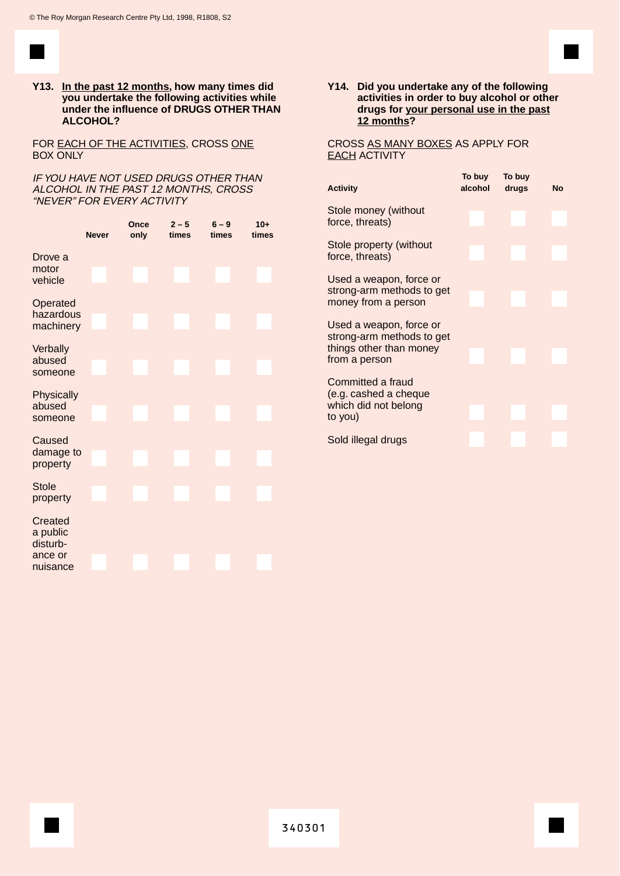

**Y13. In the past 12 months, how many times did you undertake the following activities while under the influence of DRUGS OTHER THAN ALCOHOL?**

FOR **EACH OF THE ACTIVITIES, CROSS ONE** BOX ONLY

IF YOU HAVE NOT USED DRUGS OTHER THAN ALCOHOL IN THE PAST 12 MONTHS, CROSS "NEVER" FOR EVERY ACTIVITY

|                                                        | <b>Never</b> | Once<br>only | $2 - 5$<br>times | $6 - 9$<br>times | $10+$<br>times |
|--------------------------------------------------------|--------------|--------------|------------------|------------------|----------------|
| Drove a<br>motor<br>vehicle                            |              |              |                  |                  |                |
| Operated<br>hazardous<br>machinery                     |              |              |                  |                  |                |
| Verbally<br>abused<br>someone                          |              |              |                  |                  |                |
| Physically<br>abused<br>someone                        |              |              |                  |                  |                |
| Caused<br>damage to<br>property                        |              |              |                  |                  |                |
| <b>Stole</b><br>property                               |              |              |                  |                  |                |
| Created<br>a public<br>disturb-<br>ance or<br>nuisance |              |              |                  |                  |                |

**Y14. Did you undertake any of the following activities in order to buy alcohol or other drugs for your personal use in the past 12 months?**

CROSS AS MANY BOXES AS APPLY FOR **EACH ACTIVITY** 

| <b>Activity</b>                                                                                | To buy<br>alcohol | To buy<br>drugs | <b>No</b> |
|------------------------------------------------------------------------------------------------|-------------------|-----------------|-----------|
| Stole money (without<br>force, threats)                                                        |                   |                 |           |
| Stole property (without<br>force, threats)                                                     |                   |                 |           |
| Used a weapon, force or<br>strong-arm methods to get<br>money from a person                    |                   |                 |           |
| Used a weapon, force or<br>strong-arm methods to get<br>things other than money                |                   |                 |           |
| from a person<br>Committed a fraud<br>(e.g. cashed a cheque<br>which did not belong<br>to you) |                   |                 |           |
| Sold illegal drugs                                                                             |                   |                 |           |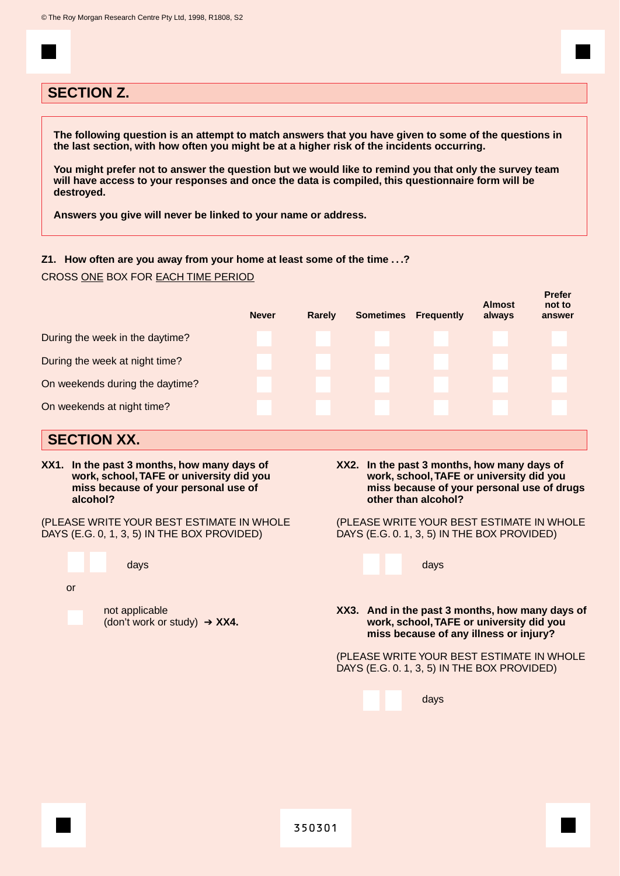## **SECTION Z.**

**The following question is an attempt to match answers that you have given to some of the questions in the last section, with how often you might be at a higher risk of the incidents occurring.**

**You might prefer not to answer the question but we would like to remind you that only the survey team will have access to your responses and once the data is compiled, this questionnaire form will be destroyed.**

**Answers you give will never be linked to your name or address.**

#### **Z1. How often are you away from your home at least some of the time . . .?**

CROSS ONE BOX FOR EACH TIME PERIOD

|                                 | <b>Never</b> | Rarely | <b>Sometimes</b> | <b>Frequently</b> | <b>Almost</b><br>always | гісісі<br>not to<br>answer |
|---------------------------------|--------------|--------|------------------|-------------------|-------------------------|----------------------------|
| During the week in the daytime? |              |        |                  |                   |                         |                            |
| During the week at night time?  |              |        |                  |                   |                         |                            |
| On weekends during the daytime? |              |        |                  |                   |                         |                            |
| On weekends at night time?      |              |        |                  |                   |                         |                            |
|                                 |              |        |                  |                   |                         |                            |

## **SECTION XX.**

**XX1. In the past 3 months, how many days of work, school,TAFE or university did you miss because of your personal use of alcohol?**

(PLEASE WRITE YOUR BEST ESTIMATE IN WHOLE DAYS (E.G. 0, 1, 3, 5) IN THE BOX PROVIDED)

days or not applicable (don't work or study) ➔ **XX4.** **XX2. In the past 3 months, how many days of work, school,TAFE or university did you miss because of your personal use of drugs other than alcohol?**

**Prefer**

(PLEASE WRITE YOUR BEST ESTIMATE IN WHOLE DAYS (E.G. 0. 1, 3, 5) IN THE BOX PROVIDED)

|                                                                                         |  |  | days                                                                                                                                  |  |  |
|-----------------------------------------------------------------------------------------|--|--|---------------------------------------------------------------------------------------------------------------------------------------|--|--|
|                                                                                         |  |  |                                                                                                                                       |  |  |
|                                                                                         |  |  | XX3. And in the past 3 months, how many days of<br>work, school, TAFE or university did you<br>miss because of any illness or injury? |  |  |
| (PLEASE WRITE YOUR BEST ESTIMATE IN WHOLE<br>DAYS (E.G. 0.1, 3, 5) IN THE BOX PROVIDED) |  |  |                                                                                                                                       |  |  |
|                                                                                         |  |  | days                                                                                                                                  |  |  |
|                                                                                         |  |  |                                                                                                                                       |  |  |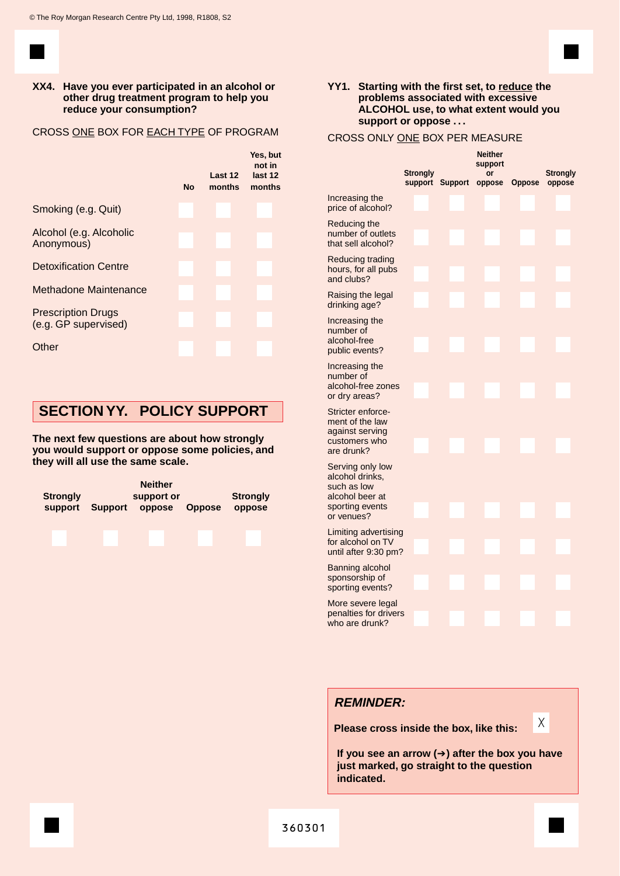

#### **XX4. Have you ever participated in an alcohol or other drug treatment program to help you reduce your consumption?**

#### CROSS ONE BOX FOR EACH TYPE OF PROGRAM



## **SECTION YY. POLICY SUPPORT**

**The next few questions are about how strongly you would support or oppose some policies, and they will all use the same scale.**



#### **YY1. Starting with the first set, to reduce the problems associated with excessive ALCOHOL use, to what extent would you support or oppose . . .**

#### CROSS ONLY ONE BOX PER MEASURE

|                                                                                                        | Strongly<br>support |  |  | <b>Neither</b><br>support<br>or<br>Support oppose | <b>Oppose</b> | Strongly<br>oppose |  |
|--------------------------------------------------------------------------------------------------------|---------------------|--|--|---------------------------------------------------|---------------|--------------------|--|
| Increasing the<br>price of alcohol?                                                                    |                     |  |  |                                                   |               |                    |  |
| Reducing the<br>number of outlets<br>that sell alcohol?                                                |                     |  |  |                                                   |               |                    |  |
| Reducing trading<br>hours, for all pubs<br>and clubs?                                                  |                     |  |  |                                                   |               |                    |  |
| Raising the legal<br>drinking age?                                                                     |                     |  |  |                                                   |               |                    |  |
| Increasing the<br>number of<br>alcohol-free<br>public events?                                          |                     |  |  |                                                   |               |                    |  |
| Increasing the<br>number of<br>alcohol-free zones<br>or dry areas?                                     |                     |  |  |                                                   |               |                    |  |
| Stricter enforce-<br>ment of the law<br>against serving<br>customers who<br>are drunk?                 |                     |  |  |                                                   |               |                    |  |
| Serving only low<br>alcohol drinks,<br>such as low<br>alcohol beer at<br>sporting events<br>or venues? |                     |  |  |                                                   |               |                    |  |
| Limiting advertising<br>for alcohol on TV<br>until after 9:30 pm?                                      |                     |  |  |                                                   |               |                    |  |
| Banning alcohol<br>sponsorship of<br>sporting events?                                                  |                     |  |  |                                                   |               |                    |  |
| More severe legal<br>penalties for drivers<br>who are drunk?                                           |                     |  |  |                                                   |               |                    |  |
|                                                                                                        |                     |  |  |                                                   |               |                    |  |

## **REMINDER:**

**Please cross inside the box, like this:**

**If you see an arrow (**➔**) after the box you have just marked, go straight to the question indicated.**

X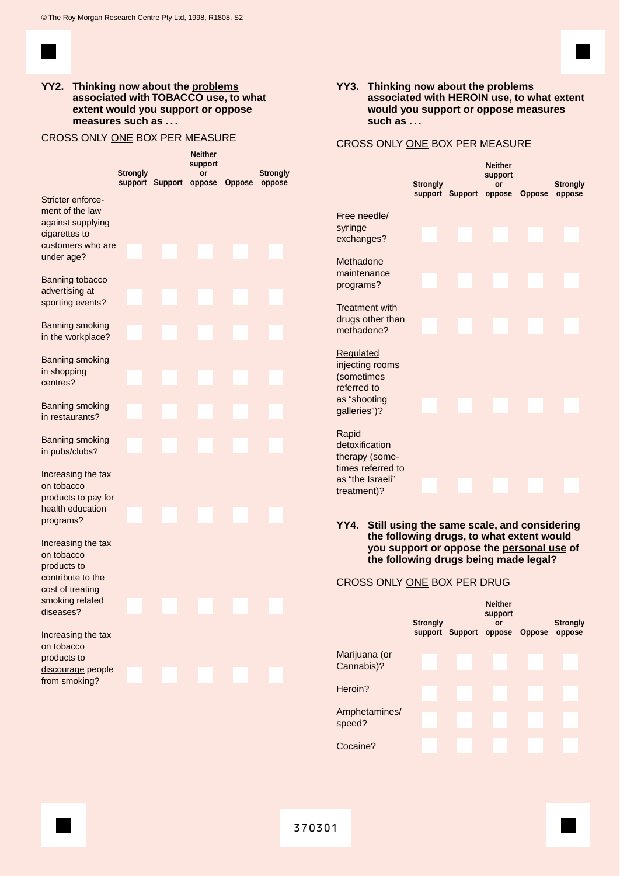

#### **YY2. Thinking now about the problems associated with TOBACCO use, to what extent would you support or oppose measures such as . . .**

### CROSS ONLY ONE BOX PER MEASURE

|                                                                                                                          | <b>Strongly</b> |                 | <b>Neither</b><br>support<br>or |               | Strongly |  |
|--------------------------------------------------------------------------------------------------------------------------|-----------------|-----------------|---------------------------------|---------------|----------|--|
|                                                                                                                          |                 | support Support | oppose                          | <b>Oppose</b> | oppose   |  |
| Stricter enforce-<br>ment of the law<br>against supplying<br>cigarettes to<br>customers who are<br>under age?            |                 |                 |                                 |               |          |  |
| Banning tobacco<br>advertising at<br>sporting events?                                                                    |                 |                 |                                 |               |          |  |
| Banning smoking<br>in the workplace?                                                                                     |                 |                 |                                 |               |          |  |
| Banning smoking<br>in shopping<br>centres?                                                                               |                 |                 |                                 |               |          |  |
| Banning smoking<br>in restaurants?                                                                                       |                 |                 |                                 |               |          |  |
| <b>Banning smoking</b><br>in pubs/clubs?                                                                                 |                 |                 |                                 |               |          |  |
| Increasing the tax<br>on tobacco<br>products to pay for<br>health education<br>programs?                                 |                 |                 |                                 |               |          |  |
| Increasing the tax<br>on tobacco<br>products to<br>contribute to the<br>cost of treating<br>smoking related<br>diseases? |                 |                 |                                 |               |          |  |
| Increasing the tax<br>on tobacco<br>products to<br>discourage people<br>from smoking?                                    |                 |                 |                                 |               |          |  |

#### **YY3. Thinking now about the problems associated with HEROIN use, to what extent would you support or oppose measures such as . . .**

#### CROSS ONLY ONE BOX PER MEASURE

|                                                                                    | <b>Strongly</b> | support Support oppose Oppose | <b>Neither</b><br>support<br>or | <b>Strongly</b><br>oppose |
|------------------------------------------------------------------------------------|-----------------|-------------------------------|---------------------------------|---------------------------|
| Free needle/                                                                       |                 |                               |                                 |                           |
| syringe<br>exchanges?                                                              |                 |                               |                                 |                           |
| Methadone                                                                          |                 |                               |                                 |                           |
| maintenance<br>programs?                                                           |                 |                               |                                 |                           |
| <b>Treatment with</b>                                                              |                 |                               |                                 |                           |
| drugs other than<br>methadone?                                                     |                 |                               |                                 |                           |
| <b>Regulated</b><br>injecting rooms<br>(sometimes<br>referred to                   |                 |                               |                                 |                           |
| as "shooting<br>galleries")?                                                       |                 |                               |                                 |                           |
| Rapid<br>detoxification<br>therapy (some-<br>times referred to<br>as "the Israeli" |                 |                               |                                 |                           |
| treatment)?                                                                        |                 |                               |                                 |                           |

**YY4. Still using the same scale, and considering the following drugs, to what extent would you support or oppose the personal use of the following drugs being made legal?** 

#### CROSS ONLY ONE BOX PER DRUG

|                             | <b>Strongly</b> | support Support oppose | <b>Neither</b><br>support<br>or | <b>Oppose</b> | <b>Strongly</b><br>oppose |
|-----------------------------|-----------------|------------------------|---------------------------------|---------------|---------------------------|
| Marijuana (or<br>Cannabis)? |                 |                        |                                 |               |                           |
| Heroin?                     |                 |                        |                                 |               |                           |
| Amphetamines/<br>speed?     |                 |                        |                                 |               |                           |
| Cocaine?                    |                 |                        |                                 |               |                           |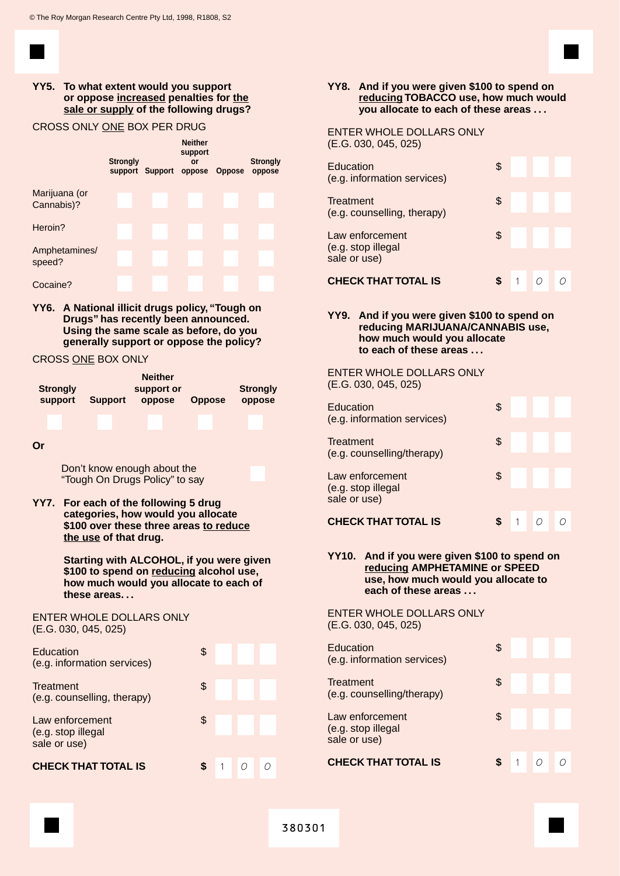

### **YY5. To what extent would you support or oppose increased penalties for the sale or supply of the following drugs?**

#### CROSS ONLY ONE BOX PER DRUG

|                             | <b>Strongly</b> | support Support oppose Oppose | <b>Neither</b><br>support<br>or | <b>Strongly</b><br>oppose |
|-----------------------------|-----------------|-------------------------------|---------------------------------|---------------------------|
| Marijuana (or<br>Cannabis)? |                 |                               |                                 |                           |
| Heroin?                     |                 |                               |                                 |                           |
| Amphetamines/<br>speed?     |                 |                               |                                 |                           |
| Cocaine?                    |                 |                               |                                 |                           |

**YY6. A National illicit drugs policy, "Tough on Drugs" has recently been announced. Using the same scale as before, do you generally support or oppose the policy?**

CROSS ONE BOX ONLY

| <b>Strongly</b><br>support | <b>Support</b> | <b>Neither</b><br>support or<br>oppose | <b>Oppose</b> | <b>Strongly</b><br>oppose |
|----------------------------|----------------|----------------------------------------|---------------|---------------------------|
|                            |                |                                        |               |                           |

**Or**

Don't know enough about the "Tough On Drugs Policy" to say

**YY7. For each of the following 5 drug categories, how would you allocate \$100 over these three areas to reduce the use of that drug.**

> **Starting with ALCOHOL, if you were given \$100 to spend on reducing alcohol use, how much would you allocate to each of these areas. . .**

#### ENTER WHOLE DOLLARS ONLY (E.G. 030, 045, 025)

| Education<br>(e.g. information services)              |    |  |  |
|-------------------------------------------------------|----|--|--|
| Treatment<br>(e.g. counselling, therapy)              | \$ |  |  |
| Law enforcement<br>(e.g. stop illegal<br>sale or use) | \$ |  |  |
| <b>CHECK THAT TOTAL IS</b>                            |    |  |  |

#### **YY8. And if you were given \$100 to spend on reducing TOBACCO use, how much would you allocate to each of these areas . . .**

#### ENTER WHOLE DOLLARS ONLY (E.G. 030, 045, 025)

| (e.g. information services)<br>Treatment                             | S  |  |  |
|----------------------------------------------------------------------|----|--|--|
| (e.g. counselling, therapy)<br>Law enforcement<br>(e.g. stop illegal | \$ |  |  |
| sale or use)                                                         |    |  |  |
| <b>CHECK THAT TOTAL IS</b>                                           |    |  |  |

#### **YY9. And if you were given \$100 to spend on reducing MARIJUANA/CANNABIS use, how much would you allocate to each of these areas . . .**

ENTER WHOLE DOLLARS ONLY (E.G. 030, 045, 025)

| Education<br>(e.g. information services)              | S  |  |  |
|-------------------------------------------------------|----|--|--|
| Treatment<br>(e.g. counselling/therapy)               | \$ |  |  |
| Law enforcement<br>(e.g. stop illegal<br>sale or use) | \$ |  |  |
| <b>CHECK THAT TOTAL IS</b>                            |    |  |  |

#### **YY10. And if you were given \$100 to spend on reducing AMPHETAMINE or SPEED use, how much would you allocate to each of these areas . . .**

ENTER WHOLE DOLLARS ONLY (E.G. 030, 045, 025)

| Education<br>(e.g. information services)              |    |  |  |
|-------------------------------------------------------|----|--|--|
| Treatment<br>(e.g. counselling/therapy)               | \$ |  |  |
| Law enforcement<br>(e.g. stop illegal<br>sale or use) | \$ |  |  |
| <b>CHECK THAT TOTAL IS</b>                            |    |  |  |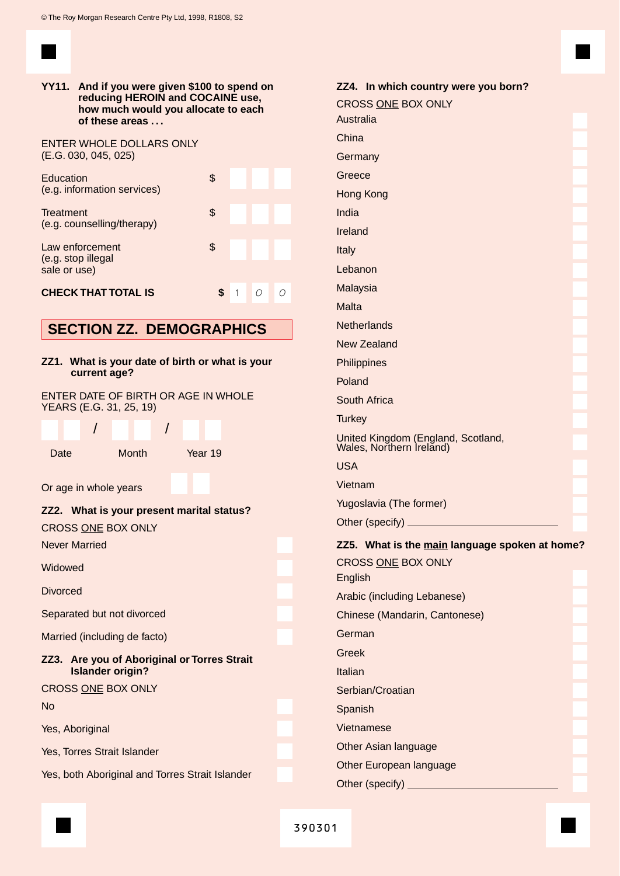| YY11. And if you were given \$100 to spend on<br>reducing HEROIN and COCAINE use,<br>how much would you allocate to each<br>of these areas |                                                                 |         |              |   |   |
|--------------------------------------------------------------------------------------------------------------------------------------------|-----------------------------------------------------------------|---------|--------------|---|---|
| (E.G. 030, 045, 025)                                                                                                                       | <b>ENTER WHOLE DOLLARS ONLY</b>                                 |         |              |   |   |
| Education                                                                                                                                  | (e.g. information services)                                     | \$      |              |   |   |
| Treatment                                                                                                                                  | (e.g. counselling/therapy)                                      | \$      |              |   |   |
| Law enforcement<br>(e.g. stop illegal<br>sale or use)                                                                                      |                                                                 | \$      |              |   |   |
|                                                                                                                                            | <b>CHECK THAT TOTAL IS</b>                                      | \$      | $\mathbf{1}$ | 0 | O |
|                                                                                                                                            | <b>SECTION ZZ. DEMOGRAPHICS</b>                                 |         |              |   |   |
|                                                                                                                                            |                                                                 |         |              |   |   |
|                                                                                                                                            | ZZ1. What is your date of birth or what is your<br>current age? |         |              |   |   |
|                                                                                                                                            | ENTER DATE OF BIRTH OR AGE IN WHOLE<br>YEARS (E.G. 31, 25, 19)  |         |              |   |   |
|                                                                                                                                            | Ι                                                               |         |              |   |   |
| Date                                                                                                                                       | <b>Month</b>                                                    | Year 19 |              |   |   |
| Or age in whole years                                                                                                                      |                                                                 |         |              |   |   |
| ZZ2.                                                                                                                                       | What is your present marital status?                            |         |              |   |   |
| <b>CROSS ONE BOX ONLY</b>                                                                                                                  |                                                                 |         |              |   |   |
| <b>Never Married</b>                                                                                                                       |                                                                 |         |              |   |   |
| Widowed                                                                                                                                    |                                                                 |         |              |   |   |
| Divorced                                                                                                                                   |                                                                 |         |              |   |   |
| Separated but not divorced                                                                                                                 |                                                                 |         |              |   |   |
|                                                                                                                                            | Married (including de facto)                                    |         |              |   |   |
| Are you of Aboriginal or Torres Strait<br>ZZ3.<br><b>Islander origin?</b>                                                                  |                                                                 |         |              |   |   |
| <b>CROSS ONE BOX ONLY</b>                                                                                                                  |                                                                 |         |              |   |   |
| <b>No</b>                                                                                                                                  |                                                                 |         |              |   |   |
| Yes, Aboriginal                                                                                                                            |                                                                 |         |              |   |   |
|                                                                                                                                            | Yes, Torres Strait Islander                                     |         |              |   |   |
| Yes, both Aboriginal and Torres Strait Islander                                                                                            |                                                                 |         |              |   |   |

| ZZ4. In which country were you born?                                 |  |
|----------------------------------------------------------------------|--|
| CROSS ONE BOX ONLY                                                   |  |
| Australia                                                            |  |
| China                                                                |  |
| Germany                                                              |  |
| Greece                                                               |  |
| Hong Kong                                                            |  |
| India                                                                |  |
| Ireland                                                              |  |
| Italy                                                                |  |
| Lebanon                                                              |  |
| Malaysia                                                             |  |
| Malta                                                                |  |
| <b>Netherlands</b>                                                   |  |
| <b>New Zealand</b>                                                   |  |
| Philippines                                                          |  |
| Poland                                                               |  |
| South Africa                                                         |  |
| <b>Turkey</b>                                                        |  |
| United Kingdom (England, Scotland,<br>Wales, Northern Ireland)       |  |
| <b>USA</b>                                                           |  |
| Vietnam                                                              |  |
| Yugoslavia (The former)                                              |  |
| Other (specify).                                                     |  |
| ZZ5. What is the main language spoken at home?<br>CROSS ONE BOX ONLY |  |
| English                                                              |  |
| Arabic (including Lebanese)                                          |  |
| Chinese (Mandarin, Cantonese)                                        |  |
| German                                                               |  |
| Greek                                                                |  |
| Italian                                                              |  |
| Serbian/Croatian                                                     |  |
| Spanish                                                              |  |
| Vietnamese                                                           |  |
| Other Asian language                                                 |  |
| Other European language                                              |  |
| Other (specify) _                                                    |  |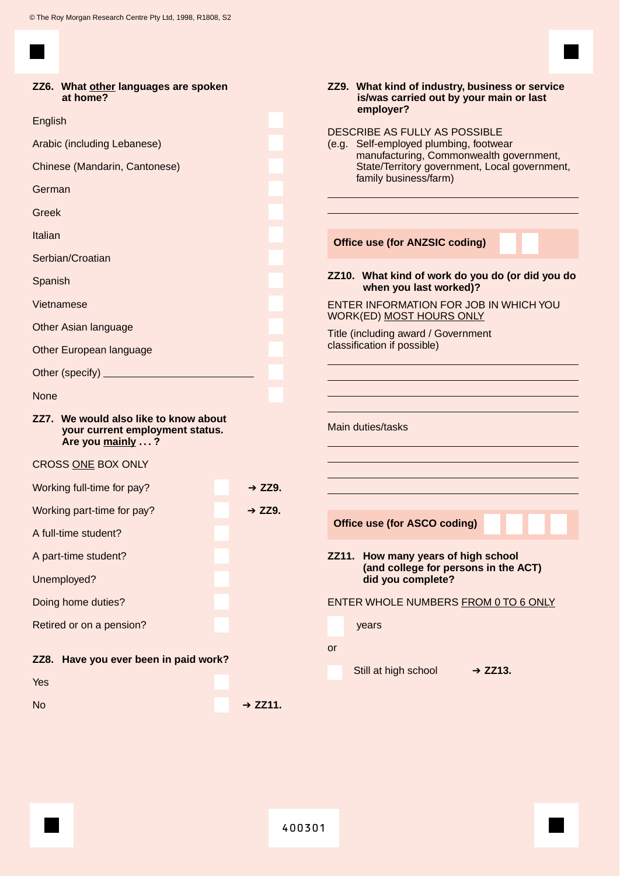×

| ZZ6. What other languages are spoken<br>at home?                                             |                     | ZZ9. What kind of industry, business or service<br>is/was carried out by your main or last<br>employer?           |
|----------------------------------------------------------------------------------------------|---------------------|-------------------------------------------------------------------------------------------------------------------|
| English                                                                                      |                     |                                                                                                                   |
| Arabic (including Lebanese)                                                                  |                     | DESCRIBE AS FULLY AS POSSIBLE<br>(e.g. Self-employed plumbing, footwear                                           |
| Chinese (Mandarin, Cantonese)                                                                |                     | manufacturing, Commonwealth government,<br>State/Territory government, Local government,<br>family business/farm) |
| German                                                                                       |                     |                                                                                                                   |
| Greek                                                                                        |                     |                                                                                                                   |
| Italian                                                                                      |                     | <b>Office use (for ANZSIC coding)</b>                                                                             |
| Serbian/Croatian                                                                             |                     |                                                                                                                   |
| Spanish                                                                                      |                     | ZZ10. What kind of work do you do (or did you do<br>when you last worked)?                                        |
| Vietnamese                                                                                   |                     | ENTER INFORMATION FOR JOB IN WHICH YOU<br><b>WORK(ED) MOST HOURS ONLY</b>                                         |
| Other Asian language                                                                         |                     | Title (including award / Government                                                                               |
| Other European language                                                                      |                     | classification if possible)                                                                                       |
|                                                                                              |                     |                                                                                                                   |
| <b>None</b>                                                                                  |                     |                                                                                                                   |
| ZZ7. We would also like to know about<br>your current employment status.<br>Are you mainly ? |                     | Main duties/tasks                                                                                                 |
| CROSS ONE BOX ONLY                                                                           |                     |                                                                                                                   |
| Working full-time for pay?                                                                   | $+$ ZZ9.            |                                                                                                                   |
| Working part-time for pay?                                                                   | $\div$ ZZ9.         |                                                                                                                   |
| A full-time student?                                                                         |                     | Office use (for ASCO coding)                                                                                      |
| A part-time student?                                                                         |                     | ZZ11. How many years of high school                                                                               |
| Unemployed?                                                                                  |                     | (and college for persons in the ACT)<br>did you complete?                                                         |
| Doing home duties?                                                                           |                     | ENTER WHOLE NUMBERS FROM 0 TO 6 ONLY                                                                              |
| Retired or on a pension?                                                                     |                     | years                                                                                                             |
| ZZ8. Have you ever been in paid work?                                                        |                     | or<br>Still at high school<br>$+$ ZZ13.                                                                           |
| Yes                                                                                          |                     |                                                                                                                   |
| <b>No</b>                                                                                    | $\rightarrow$ ZZ11. |                                                                                                                   |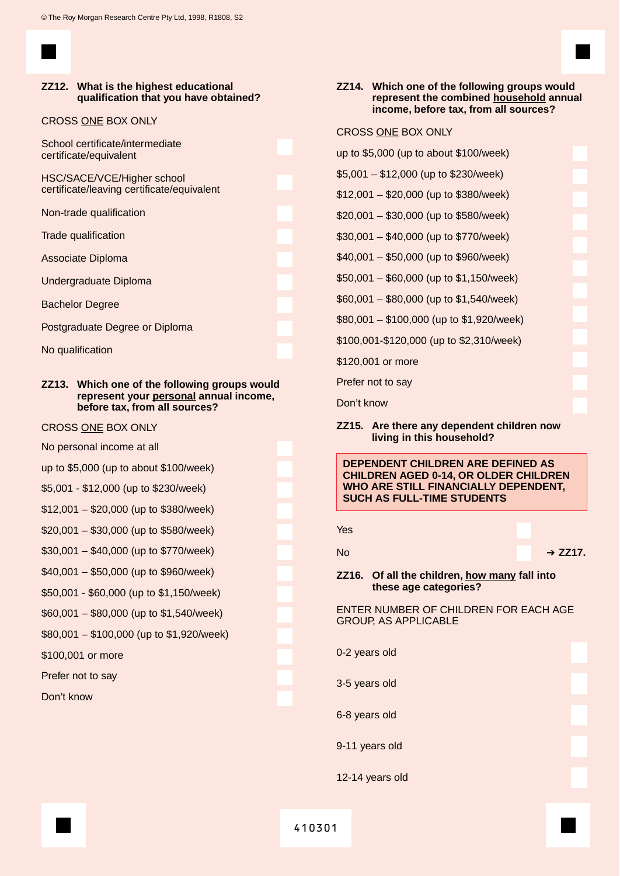#### **ZZ12. What is the highest educational qualification that you have obtained?**

#### CROSS ONE BOX ONLY

School certificate/intermediate certificate/equivalent

HSC/SACE/VCE/Higher school certificate/leaving certificate/equivalent

Non-trade qualification

Trade qualification

Associate Diploma

Undergraduate Diploma

Bachelor Degree

Postgraduate Degree or Diploma

No qualification

#### **ZZ13. Which one of the following groups would represent your personal annual income, before tax, from all sources?**

#### CROSS ONE BOX ONLY

No personal income at all

up to \$5,000 (up to about \$100/week)

\$5,001 - \$12,000 (up to \$230/week)

- \$12,001 \$20,000 (up to \$380/week)
- \$20,001 \$30,000 (up to \$580/week)

\$30,001 – \$40,000 (up to \$770/week)

- \$40,001 \$50,000 (up to \$960/week)
- \$50,001 \$60,000 (up to \$1,150/week)

\$60,001 – \$80,000 (up to \$1,540/week)

\$80,001 – \$100,000 (up to \$1,920/week)

\$100,001 or more

Prefer not to say

Don't know

#### **ZZ14. Which one of the following groups would represent the combined household annual income, before tax, from all sources?**

#### CROSS ONE BOX ONLY

- up to \$5,000 (up to about \$100/week)
- \$5,001 \$12,000 (up to \$230/week)
- \$12,001 \$20,000 (up to \$380/week)
- \$20,001 \$30,000 (up to \$580/week)
- \$30,001 \$40,000 (up to \$770/week)
- \$40,001 \$50,000 (up to \$960/week)
- \$50,001 \$60,000 (up to \$1,150/week)
- \$60,001 \$80,000 (up to \$1,540/week)

\$80,001 – \$100,000 (up to \$1,920/week)

\$100,001-\$120,000 (up to \$2,310/week)

\$120,001 or more

Prefer not to say

Don't know

**ZZ15. Are there any dependent children now living in this household?**

**DEPENDENT CHILDREN ARE DEFINED AS CHILDREN AGED 0-14, OR OLDER CHILDREN WHO ARE STILL FINANCIALLY DEPENDENT, SUCH AS FULL-TIME STUDENTS**

Yes

No **→ ZZ17.** 

**ZZ16. Of all the children, how many fall into these age categories?**

#### ENTER NUMBER OF CHILDREN FOR EACH AGE GROUP, AS APPLICABLE

0-2 years old

3-5 years old

6-8 years old

- 9-11 years old
- 12-14 years old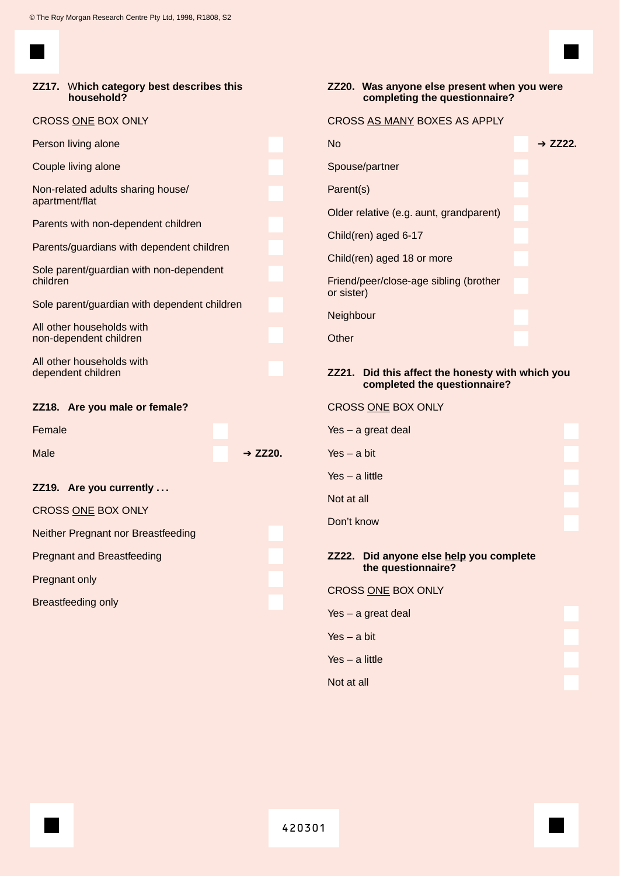

|                                                      | ZZ17. Which category best describes this<br>household? |           |                      | ZZ20. Was anyone else present when you were<br>completing the questionnaire?     |                                         |  |           |
|------------------------------------------------------|--------------------------------------------------------|-----------|----------------------|----------------------------------------------------------------------------------|-----------------------------------------|--|-----------|
| CROSS ONE BOX ONLY                                   |                                                        |           |                      | CROSS AS MANY BOXES AS APPLY                                                     |                                         |  |           |
| Person living alone                                  |                                                        |           |                      | <b>No</b>                                                                        |                                         |  | $+$ ZZ22. |
| Couple living alone                                  |                                                        |           |                      |                                                                                  | Spouse/partner                          |  |           |
| Non-related adults sharing house/<br>apartment/flat  |                                                        |           |                      | Parent(s)                                                                        |                                         |  |           |
|                                                      |                                                        |           |                      |                                                                                  | Older relative (e.g. aunt, grandparent) |  |           |
| Parents with non-dependent children                  |                                                        |           |                      |                                                                                  | Child(ren) aged 6-17                    |  |           |
| Parents/guardians with dependent children            |                                                        |           |                      | Child(ren) aged 18 or more                                                       |                                         |  |           |
| Sole parent/guardian with non-dependent<br>children  |                                                        |           |                      | Friend/peer/close-age sibling (brother<br>or sister)                             |                                         |  |           |
| Sole parent/guardian with dependent children         |                                                        |           |                      | Neighbour                                                                        |                                         |  |           |
| All other households with<br>non-dependent children  |                                                        |           |                      | Other                                                                            |                                         |  |           |
| All other households with<br>dependent children      |                                                        |           |                      | ZZ21. Did this affect the honesty with which you<br>completed the questionnaire? |                                         |  |           |
| ZZ18. Are you male or female?                        |                                                        |           |                      | CROSS ONE BOX ONLY                                                               |                                         |  |           |
| Female                                               |                                                        |           |                      |                                                                                  | $Yes - a great deal$                    |  |           |
| Male                                                 |                                                        | $+$ ZZ20. |                      | $Yes - a bit$                                                                    |                                         |  |           |
|                                                      |                                                        |           |                      | $Yes - a little$                                                                 |                                         |  |           |
| ZZ19. Are you currently<br><b>CROSS ONE BOX ONLY</b> |                                                        |           |                      | Not at all                                                                       |                                         |  |           |
|                                                      |                                                        |           |                      | Don't know                                                                       |                                         |  |           |
|                                                      | Neither Pregnant nor Breastfeeding                     |           |                      |                                                                                  |                                         |  |           |
| <b>Pregnant and Breastfeeding</b>                    |                                                        |           |                      | ZZ22. Did anyone else help you complete<br>the questionnaire?                    |                                         |  |           |
| Pregnant only                                        |                                                        |           |                      |                                                                                  | CROSS ONE BOX ONLY                      |  |           |
| Breastfeeding only                                   |                                                        |           | Yes $-$ a great deal |                                                                                  |                                         |  |           |
|                                                      |                                                        |           |                      | $Yes - a bit$                                                                    |                                         |  |           |
|                                                      |                                                        |           |                      | $Yes - a little$                                                                 |                                         |  |           |
|                                                      |                                                        |           |                      |                                                                                  |                                         |  |           |

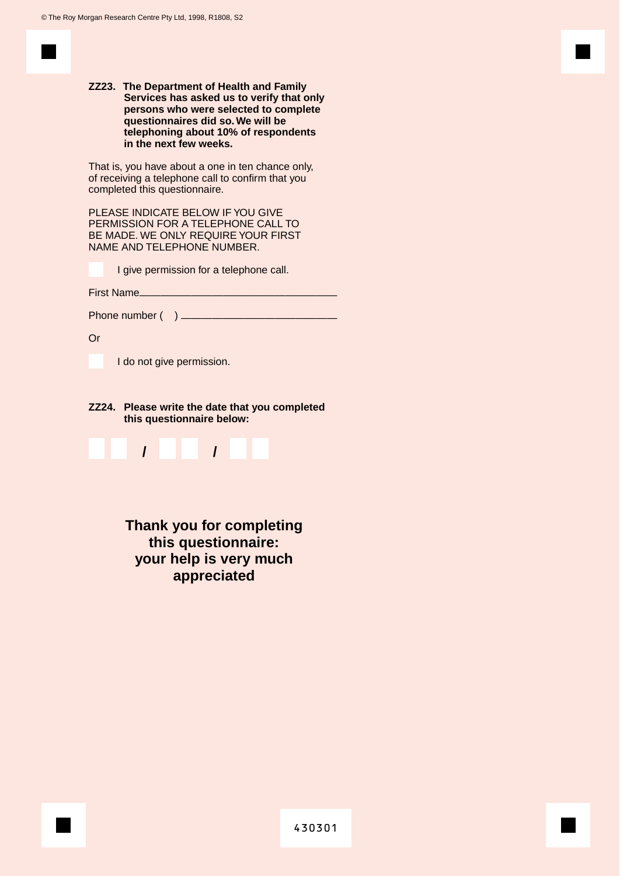**ZZ23. The Department of Health and Family Services has asked us to verify that only persons who were selected to complete questionnaires did so.We will be telephoning about 10% of respondents in the next few weeks.**

That is, you have about a one in ten chance only, of receiving a telephone call to confirm that you completed this questionnaire.

PLEASE INDICATE BELOW IF YOU GIVE PERMISSION FOR A TELEPHONE CALL TO BE MADE. WE ONLY REQUIRE YOUR FIRST NAME AND TELEPHONE NUMBER.

I give permission for a telephone call.

First Name\_

Phone number ( ) —————————————————

Or

I do not give permission.

**ZZ24. Please write the date that you completed this questionnaire below:**



**Thank you for completing this questionnaire: your help is very much appreciated**